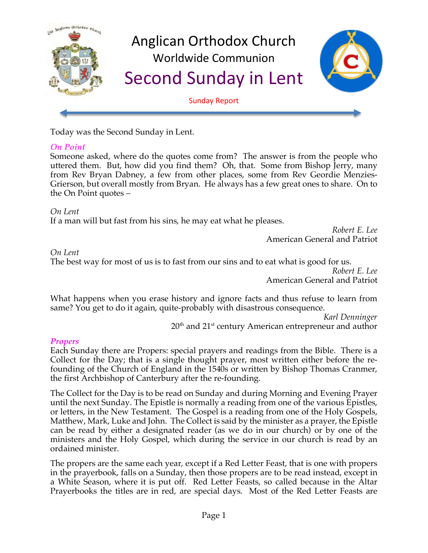

Today was the Second Sunday in Lent.

### *On Point*

Someone asked, where do the quotes come from? The answer is from the people who uttered them. But, how did you find them? Oh, that. Some from Bishop Jerry, many from Rev Bryan Dabney, a few from other places, some from Rev Geordie Menzies-Grierson, but overall mostly from Bryan. He always has a few great ones to share. On to the On Point quotes –

#### *On Lent*

If a man will but fast from his sins, he may eat what he pleases.

*Robert E. Lee* American General and Patriot

#### *On Lent*

The best way for most of us is to fast from our sins and to eat what is good for us.

*Robert E. Lee* American General and Patriot

What happens when you erase history and ignore facts and thus refuse to learn from same? You get to do it again, quite-probably with disastrous consequence.

*Karl Denninger*  $20<sup>th</sup>$  and  $21<sup>st</sup>$  century American entrepreneur and author

#### *Propers*

Each Sunday there are Propers: special prayers and readings from the Bible. There is a Collect for the Day; that is a single thought prayer, most written either before the refounding of the Church of England in the 1540s or written by Bishop Thomas Cranmer, the first Archbishop of Canterbury after the re-founding.

The Collect for the Day is to be read on Sunday and during Morning and Evening Prayer until the next Sunday. The Epistle is normally a reading from one of the various Epistles, or letters, in the New Testament. The Gospel is a reading from one of the Holy Gospels, Matthew, Mark, Luke and John. The Collect is said by the minister as a prayer, the Epistle can be read by either a designated reader (as we do in our church) or by one of the ministers and the Holy Gospel, which during the service in our church is read by an ordained minister.

The propers are the same each year, except if a Red Letter Feast, that is one with propers in the prayerbook, falls on a Sunday, then those propers are to be read instead, except in a White Season, where it is put off. Red Letter Feasts, so called because in the Altar Prayerbooks the titles are in red, are special days. Most of the Red Letter Feasts are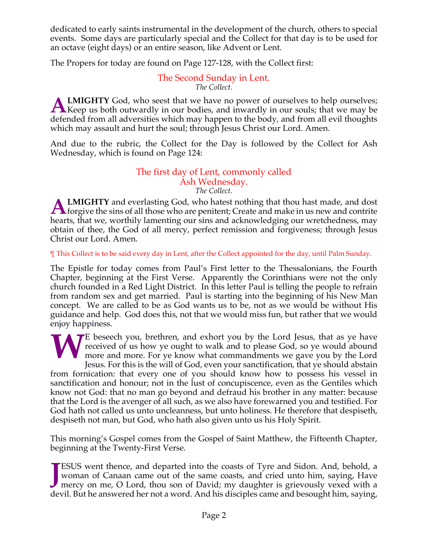dedicated to early saints instrumental in the development of the church, others to special events. Some days are particularly special and the Collect for that day is to be used for an octave (eight days) or an entire season, like Advent or Lent.

The Propers for today are found on Page 127-128, with the Collect first:

#### The Second Sunday in Lent. *The Collect.*

**LMIGHTY** God, who seest that we have no power of ourselves to help ourselves; **A LMIGHTY** God, who seest that we have no power of ourselves to help ourselves;<br>Keep us both outwardly in our bodies, and inwardly in our souls; that we may be defended from all adversities which may happen to the body, and from all evil thoughts which may assault and hurt the soul; through Jesus Christ our Lord. Amen.

And due to the rubric, the Collect for the Day is followed by the Collect for Ash Wednesday, which is found on Page 124:

#### The first day of Lent, commonly called Ash Wednesday. *The Collect.*

**LMIGHTY** and everlasting God, who hatest nothing that thou hast made, and dost **ALMIGHTY** and everlasting God, who hatest nothing that thou hast made, and dost forgive the sins of all those who are penitent; Create and make in us new and contrite that the sins of all those who are penitent; Create an hearts, that we, worthily lamenting our sins and acknowledging our wretchedness, may obtain of thee, the God of all mercy, perfect remission and forgiveness; through Jesus Christ our Lord. Amen.

¶ This Collect is to be said every day in Lent, after the Collect appointed for the day, until Palm Sunday.

The Epistle for today comes from Paul's First letter to the Thessalonians, the Fourth Chapter, beginning at the First Verse. Apparently the Corinthians were not the only church founded in a Red Light District. In this letter Paul is telling the people to refrain from random sex and get married. Paul is starting into the beginning of his New Man concept. We are called to be as God wants us to be, not as we would be without His guidance and help. God does this, not that we would miss fun, but rather that we would enjoy happiness.

E beseech you, brethren, and exhort you by the Lord Jesus, that as ye have received of us how ye ought to walk and to please God, so ye would abound more and more. For ye know what commandments we gave you by the Lord Jesu received of us how ye ought to walk and to please God, so ye would abound more and more. For ye know what commandments we gave you by the Lord Jesus. For this is the will of God, even your sanctification, that ye should abstain from fornication: that every one of you should know how to possess his vessel in sanctification and honour; not in the lust of concupiscence, even as the Gentiles which know not God: that no man go beyond and defraud his brother in any matter: because that the Lord is the avenger of all such, as we also have forewarned you and testified. For God hath not called us unto uncleanness, but unto holiness. He therefore that despiseth, despiseth not man, but God, who hath also given unto us his Holy Spirit.

This morning's Gospel comes from the Gospel of Saint Matthew, the Fifteenth Chapter, beginning at the Twenty-First Verse.

ESUS went thence, and departed into the coasts of Tyre and Sidon. And, behold, a woman of Canaan came out of the same coasts, and cried unto him, saying, Have **TESUS** went thence, and departed into the coasts of Tyre and Sidon. And, behold, a woman of Canaan came out of the same coasts, and cried unto him, saying, Have mercy on me, O Lord, thou son of David; my daughter is griev devil. But he answered her not a word. And his disciples came and besought him, saying,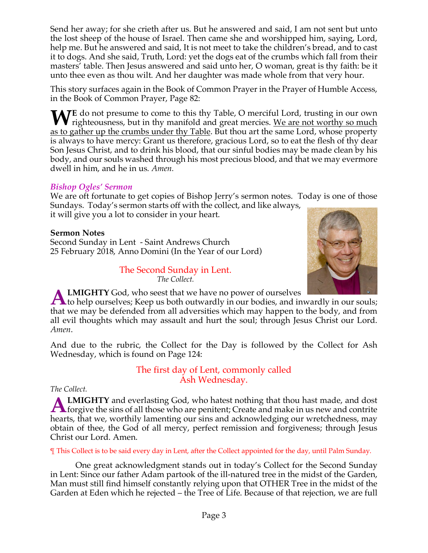Send her away; for she crieth after us. But he answered and said, I am not sent but unto the lost sheep of the house of Israel. Then came she and worshipped him, saying, Lord, help me. But he answered and said, It is not meet to take the children's bread, and to cast it to dogs. And she said, Truth, Lord: yet the dogs eat of the crumbs which fall from their masters' table. Then Jesus answered and said unto her, O woman, great is thy faith: be it unto thee even as thou wilt. And her daughter was made whole from that very hour.

This story surfaces again in the Book of Common Prayer in the Prayer of Humble Access, in the Book of Common Prayer, Page 82:

**WE** do not presume to come to this thy Table, O merciful Lord, trusting in our own righteousness, but in thy manifold and great mercies. We are not worthy so much righteousness, but in thy manifold and great mercies. We are not worthy so much as to gather up the crumbs under thy Table. But thou art the same Lord, whose property is always to have mercy: Grant us therefore, gracious Lord, so to eat the flesh of thy dear Son Jesus Christ, and to drink his blood, that our sinful bodies may be made clean by his body, and our souls washed through his most precious blood, and that we may evermore dwell in him, and he in us. *Amen.*

# *Bishop Ogles' Sermon*

We are oft fortunate to get copies of Bishop Jerry's sermon notes. Today is one of those Sundays. Today's sermon starts off with the collect, and like always,

it will give you a lot to consider in your heart.

### **Sermon Notes**

Second Sunday in Lent - Saint Andrews Church 25 February 2018, Anno Domini (In the Year of our Lord)

> The Second Sunday in Lent. *The Collect.*



**LMIGHTY** God, who seest that we have no power of ourselves

**ALMIGHTY** God, who seest that we have no power of ourselves <br>to help ourselves; Keep us both outwardly in our bodies, and inwardly in our souls; that we may be defended from all adversities which may happen to the body, and from all evil thoughts which may assault and hurt the soul; through Jesus Christ our Lord. *Amen*.

And due to the rubric, the Collect for the Day is followed by the Collect for Ash Wednesday, which is found on Page 124:

> The first day of Lent, commonly called Ash Wednesday.

#### *The Collect.*

**LMIGHTY** and everlasting God, who hatest nothing that thou hast made, and dost **ALMIGHTY** and everlasting God, who hatest nothing that thou hast made, and dost forgive the sins of all those who are penitent; Create and make in us new and contrite that the sins of all those who are penitent; Create an hearts, that we, worthily lamenting our sins and acknowledging our wretchedness, may obtain of thee, the God of all mercy, perfect remission and forgiveness; through Jesus Christ our Lord. Amen.

¶ This Collect is to be said every day in Lent, after the Collect appointed for the day, until Palm Sunday.

One great acknowledgment stands out in today's Collect for the Second Sunday in Lent: Since our father Adam partook of the ill-natured tree in the midst of the Garden, Man must still find himself constantly relying upon that OTHER Tree in the midst of the Garden at Eden which he rejected – the Tree of Life. Because of that rejection, we are full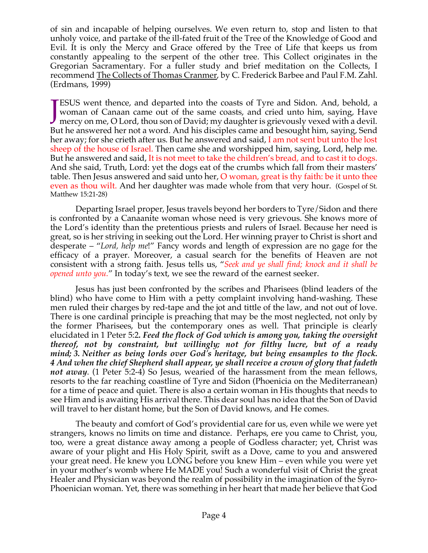of sin and incapable of helping ourselves. We even return to, stop and listen to that unholy voice, and partake of the ill-fated fruit of the Tree of the Knowledge of Good and Evil. It is only the Mercy and Grace offered by the Tree of Life that keeps us from constantly appealing to the serpent of the other tree. This Collect originates in the Gregorian Sacramentary. For a fuller study and brief meditation on the Collects, I recommend The Collects of Thomas Cranmer, by C. Frederick Barbee and Paul F.M. Zahl. (Erdmans, 1999)

ESUS went thence, and departed into the coasts of Tyre and Sidon. And, behold, a woman of Canaan came out of the same coasts, and cried unto him, saying, Have **TESUS** went thence, and departed into the coasts of Tyre and Sidon. And, behold, a woman of Canaan came out of the same coasts, and cried unto him, saying, Have mercy on me, O Lord, thou son of David; my daughter is griev But he answered her not a word. And his disciples came and besought him, saying, Send her away; for she crieth after us. But he answered and said, I am not sent but unto the lost sheep of the house of Israel. Then came she and worshipped him, saying, Lord, help me. But he answered and said, It is not meet to take the children's bread, and to cast it to dogs. And she said, Truth, Lord: yet the dogs eat of the crumbs which fall from their masters' table. Then Jesus answered and said unto her, O woman, great is thy faith: be it unto thee even as thou wilt. And her daughter was made whole from that very hour. (Gospel of St. Matthew 15:21-28)

Departing Israel proper, Jesus travels beyond her borders to Tyre/Sidon and there is confronted by a Canaanite woman whose need is very grievous. She knows more of the Lord's identity than the pretentious priests and rulers of Israel. Because her need is great, so is her striving in seeking out the Lord. Her winning prayer to Christ is short and desperate – "*Lord, help me*!" Fancy words and length of expression are no gage for the efficacy of a prayer. Moreover, a casual search for the benefits of Heaven are not consistent with a strong faith. Jesus tells us, "*Seek and ye shall find; knock and it shall be opened unto you.*" In today's text, we see the reward of the earnest seeker.

Jesus has just been confronted by the scribes and Pharisees (blind leaders of the blind) who have come to Him with a petty complaint involving hand-washing. These men ruled their charges by red-tape and the jot and tittle of the law, and not out of love. There is one cardinal principle is preaching that may be the most neglected, not only by the former Pharisees, but the contemporary ones as well. That principle is clearly elucidated in 1 Peter 5:2*. Feed the flock of God which is among you, taking the oversight thereof, not by constraint, but willingly; not for filthy lucre, but of a ready mind; 3. Neither as being lords over God's heritage, but being ensamples to the flock. 4 And when the chief Shepherd shall appear, ye shall receive a crown of glory that fadeth not away*. (1 Peter 5:2-4) So Jesus, wearied of the harassment from the mean fellows, resorts to the far reaching coastline of Tyre and Sidon (Phoenicia on the Mediterranean) for a time of peace and quiet. There is also a certain woman in His thoughts that needs to see Him and is awaiting His arrival there. This dear soul has no idea that the Son of David will travel to her distant home, but the Son of David knows, and He comes.

The beauty and comfort of God's providential care for us, even while we were yet strangers, knows no limits on time and distance. Perhaps, ere you came to Christ, you, too, were a great distance away among a people of Godless character; yet, Christ was aware of your plight and His Holy Spirit, swift as a Dove, came to you and answered your great need. He knew you LONG before you knew Him – even while you were yet in your mother's womb where He MADE you! Such a wonderful visit of Christ the great Healer and Physician was beyond the realm of possibility in the imagination of the Syro-Phoenician woman. Yet, there was something in her heart that made her believe that God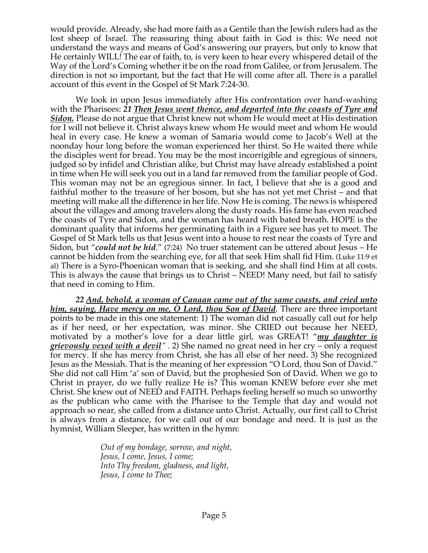would provide. Already, she had more faith as a Gentile than the Jewish rulers had as the lost sheep of Israel. The reassuring thing about faith in God is this: We need not understand the ways and means of God's answering our prayers, but only to know that He certainly WILL! The ear of faith, to, is very keen to hear every whispered detail of the Way of the Lord's Coming whether it be on the road from Galilee, or from Jerusalem. The direction is not so important, but the fact that He will come after all. There is a parallel account of this event in the Gospel of St Mark 7:24-30.

We look in upon Jesus immediately after His confrontation over hand-washing with the Pharisees: *21 Then Jesus went thence, and departed into the coasts of Tyre and Sidon.* Please do not argue that Christ knew not whom He would meet at His destination for I will not believe it. Christ always knew whom He would meet and whom He would heal in every case. He knew a woman of Samaria would come to Jacob's Well at the noonday hour long before the woman experienced her thirst. So He waited there while the disciples went for bread. You may be the most incorrigible and egregious of sinners, judged so by infidel and Christian alike, but Christ may have already established a point in time when He will seek you out in a land far removed from the familiar people of God. This woman may not be an egregious sinner. In fact, I believe that she is a good and faithful mother to the treasure of her bosom, but she has not yet met Christ – and that meeting will make all the difference in her life. Now He is coming. The news is whispered about the villages and among travelers along the dusty roads. His fame has even reached the coasts of Tyre and Sidon, and the woman has heard with bated breath. HOPE is the dominant quality that informs her germinating faith in a Figure see has yet to meet. The Gospel of St Mark tells us that Jesus went into a house to rest near the coasts of Tyre and Sidon, but "*could not be hid*." (7:24) No truer statement can be uttered about Jesus – He cannot be hidden from the searching eye, for all that seek Him shall fid Him. (Luke 11:9 et al) There is a Syro-Phoenican woman that is seeking, and she shall find Him at all costs. This is always the cause that brings us to Christ – NEED! Many need, but fail to satisfy that need in coming to Him.

*22 And, behold, a woman of Canaan came out of the same coasts, and cried unto him, saying, Have mercy on me, O Lord, thou Son of David*. There are three important points to be made in this one statement: 1) The woman did not casually call out for help as if her need, or her expectation, was minor. She CRIED out because her NEED, motivated by a mother's love for a dear little girl, was GREAT! "*my daughter is grievously vexed with a devil" .* 2) She named no great need in her cry – only a request for mercy. If she has mercy from Christ, she has all else of her need. 3) She recognized Jesus as the Messiah. That is the meaning of her expression "O Lord, thou Son of David." She did not call Him 'a' son of David, but the prophesied Son of David. When we go to Christ in prayer, do we fully realize He is? This woman KNEW before ever she met Christ. She knew out of NEED and FAITH. Perhaps feeling herself so much so unworthy as the publican who came with the Pharisee to the Temple that day and would not approach so near, she called from a distance unto Christ. Actually, our first call to Christ is always from a distance, for we call out of our bondage and need. It is just as the hymnist, William Sleeper, has written in the hymn:

> *Out of my bondage, sorrow, and night, Jesus, I come, Jesus, I come; Into Thy freedom, gladness, and light, Jesus, I come to Thee;*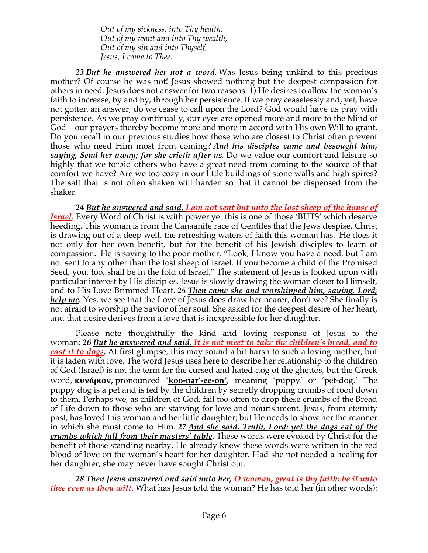*Out of my sickness, into Thy health, Out of my want and into Thy wealth, Out of my sin and into Thyself, Jesus, I come to Thee.*

*23 But he answered her not a word.* Was Jesus being unkind to this precious mother? Of course he was not! Jesus showed nothing but the deepest compassion for others in need. Jesus does not answer for two reasons: 1) He desires to allow the woman's faith to increase, by and by, through her persistence. If we pray ceaselessly and, yet, have not gotten an answer, do we cease to call upon the Lord? God would have us pray with persistence. As we pray continually, our eyes are opened more and more to the Mind of God – our prayers thereby become more and more in accord with His own Will to grant. Do you recall in our previous studies how those who are closest to Christ often prevent those who need Him most from coming? *And his disciples came and besought him, saying, Send her away; for she crieth after us.* Do we value our comfort and leisure so highly that we forbid others who have a great need from coming to the source of that comfort we have? Are we too cozy in our little buildings of stone walls and high spires? The salt that is not often shaken will harden so that it cannot be dispensed from the shaker.

*24 But he answered and said, I am not sent but unto the lost sheep of the house of Israel.* Every Word of Christ is with power yet this is one of those 'BUTS' which deserve heeding. This woman is from the Canaanite race of Gentiles that the Jews despise. Christ is drawing out of a deep well, the refreshing waters of faith this woman has. He does it not only for her own benefit, but for the benefit of his Jewish disciples to learn of compassion. He is saying to the poor mother, "Look, I know you have a need, but I am not sent to any other than the lost sheep of Israel. If you become a child of the Promised Seed, you, too, shall be in the fold of Israel." The statement of Jesus is looked upon with particular interest by His disciples. Jesus is slowly drawing the woman closer to Himself, and to His Love-Brimmed Heart. *25 Then came she and worshipped him, saying, Lord, help me.* Yes, we see that the Love of Jesus does draw her nearer, don't we? She finally is not afraid to worship the Savior of her soul. She asked for the deepest desire of her heart, and that desire derives from a love that is inexpressible for her daughter.

Please note thoughtfully the kind and loving response of Jesus to the woman: *26 But he answered and said, It is not meet to take the children's bread, and to cast it to dogs.* At first glimpse, this may sound a bit harsh to such a loving mother, but it is laden with love. The word Jesus uses here to describe her relationship to the children of God (Israel) is not the term for the cursed and hated dog of the ghettos, but the Greek word, **κυνάριον,** pronounced '**koo-nar'-ee-on'**, meaning 'puppy' or 'pet-dog.' The puppy dog is a pet and is fed by the children by secretly dropping crumbs of food down to them. Perhaps we, as children of God, fail too often to drop these crumbs of the Bread of Life down to those who are starving for love and nourishment. Jesus, from eternity past, has loved this woman and her little daughter; but He needs to show her the manner in which she must come to Him. *27 And she said, Truth, Lord: yet the dogs eat of the crumbs which fall from their masters' table.* These words were evoked by Christ for the benefit of those standing nearby. He already knew these words were written in the red blood of love on the woman's heart for her daughter. Had she not needed a healing for her daughter, she may never have sought Christ out.

*28 Then Jesus answered and said unto her, O woman, great is thy faith: be it unto thee even as thou wilt*. What has Jesus told the woman? He has told her (in other words):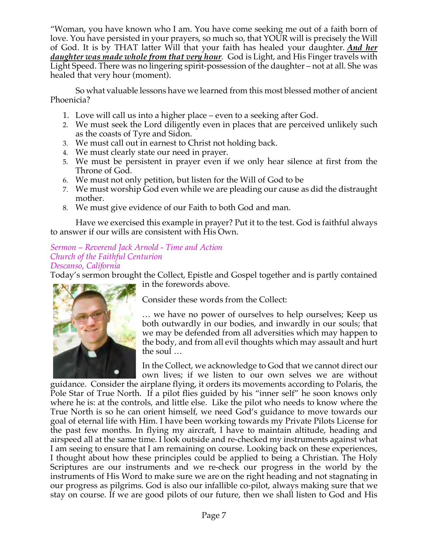"Woman, you have known who I am. You have come seeking me out of a faith born of love. You have persisted in your prayers, so much so, that YOUR will is precisely the Will of God. It is by THAT latter Will that your faith has healed your daughter. *And her daughter was made whole from that very hour*. God is Light, and His Finger travels with Light Speed. There was no lingering spirit-possession of the daughter – not at all. She was healed that very hour (moment).

So what valuable lessons have we learned from this most blessed mother of ancient Phoenicia?

- 1. Love will call us into a higher place even to a seeking after God.
- 2. We must seek the Lord diligently even in places that are perceived unlikely such as the coasts of Tyre and Sidon.
- 3. We must call out in earnest to Christ not holding back.
- 4. We must clearly state our need in prayer.
- 5. We must be persistent in prayer even if we only hear silence at first from the Throne of God.
- 6. We must not only petition, but listen for the Will of God to be
- 7. We must worship God even while we are pleading our cause as did the distraught mother.
- 8. We must give evidence of our Faith to both God and man.

Have we exercised this example in prayer? Put it to the test. God is faithful always to answer if our wills are consistent with His Own.

#### *Sermon – Reverend Jack Arnold - Time and Action Church of the Faithful Centurion Descanso, California*

Today's sermon brought the Collect, Epistle and Gospel together and is partly contained in the forewords above.



Consider these words from the Collect:

… we have no power of ourselves to help ourselves; Keep us both outwardly in our bodies, and inwardly in our souls; that we may be defended from all adversities which may happen to the body, and from all evil thoughts which may assault and hurt the soul …

In the Collect, we acknowledge to God that we cannot direct our own lives; if we listen to our own selves we are without

guidance. Consider the airplane flying, it orders its movements according to Polaris, the Pole Star of True North. If a pilot flies guided by his "inner self" he soon knows only where he is: at the controls, and little else. Like the pilot who needs to know where the True North is so he can orient himself, we need God's guidance to move towards our goal of eternal life with Him. I have been working towards my Private Pilots License for the past few months. In flying my aircraft, I have to maintain altitude, heading and airspeed all at the same time. I look outside and re-checked my instruments against what I am seeing to ensure that I am remaining on course. Looking back on these experiences, I thought about how these principles could be applied to being a Christian. The Holy Scriptures are our instruments and we re-check our progress in the world by the instruments of His Word to make sure we are on the right heading and not stagnating in our progress as pilgrims. God is also our infallible co-pilot, always making sure that we stay on course. If we are good pilots of our future, then we shall listen to God and His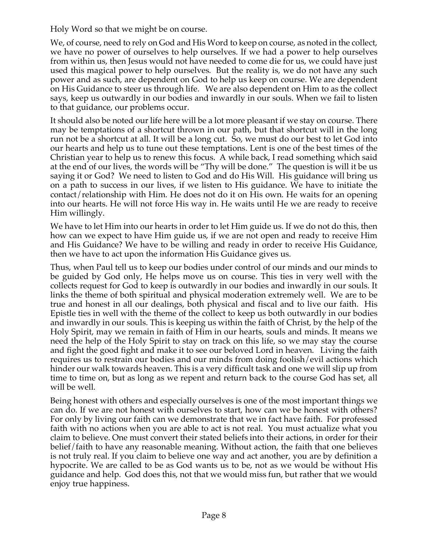Holy Word so that we might be on course.

We, of course, need to rely on God and His Word to keep on course, as noted in the collect, we have no power of ourselves to help ourselves. If we had a power to help ourselves from within us, then Jesus would not have needed to come die for us, we could have just used this magical power to help ourselves. But the reality is, we do not have any such power and as such, are dependent on God to help us keep on course. We are dependent on His Guidance to steer us through life. We are also dependent on Him to as the collect says, keep us outwardly in our bodies and inwardly in our souls. When we fail to listen to that guidance, our problems occur.

It should also be noted our life here will be a lot more pleasant if we stay on course. There may be temptations of a shortcut thrown in our path, but that shortcut will in the long run not be a shortcut at all. It will be a long cut. So, we must do our best to let God into our hearts and help us to tune out these temptations. Lent is one of the best times of the Christian year to help us to renew this focus. A while back, I read something which said at the end of our lives, the words will be "Thy will be done." The question is will it be us saying it or God? We need to listen to God and do His Will. His guidance will bring us on a path to success in our lives, if we listen to His guidance. We have to initiate the contact/relationship with Him. He does not do it on His own. He waits for an opening into our hearts. He will not force His way in. He waits until He we are ready to receive Him willingly.

We have to let Him into our hearts in order to let Him guide us. If we do not do this, then how can we expect to have Him guide us, if we are not open and ready to receive Him and His Guidance? We have to be willing and ready in order to receive His Guidance, then we have to act upon the information His Guidance gives us.

Thus, when Paul tell us to keep our bodies under control of our minds and our minds to be guided by God only, He helps move us on course. This ties in very well with the collects request for God to keep is outwardly in our bodies and inwardly in our souls. It links the theme of both spiritual and physical moderation extremely well. We are to be true and honest in all our dealings, both physical and fiscal and to live our faith. His Epistle ties in well with the theme of the collect to keep us both outwardly in our bodies and inwardly in our souls. This is keeping us within the faith of Christ, by the help of the Holy Spirit, may we remain in faith of Him in our hearts, souls and minds. It means we need the help of the Holy Spirit to stay on track on this life, so we may stay the course and fight the good fight and make it to see our beloved Lord in heaven. Living the faith requires us to restrain our bodies and our minds from doing foolish/evil actions which hinder our walk towards heaven. This is a very difficult task and one we will slip up from time to time on, but as long as we repent and return back to the course God has set, all will be well.

Being honest with others and especially ourselves is one of the most important things we can do. If we are not honest with ourselves to start, how can we be honest with others? For only by living our faith can we demonstrate that we in fact have faith. For professed faith with no actions when you are able to act is not real. You must actualize what you claim to believe. One must convert their stated beliefs into their actions, in order for their belief/faith to have any reasonable meaning. Without action, the faith that one believes is not truly real. If you claim to believe one way and act another, you are by definition a hypocrite. We are called to be as God wants us to be, not as we would be without His guidance and help. God does this, not that we would miss fun, but rather that we would enjoy true happiness.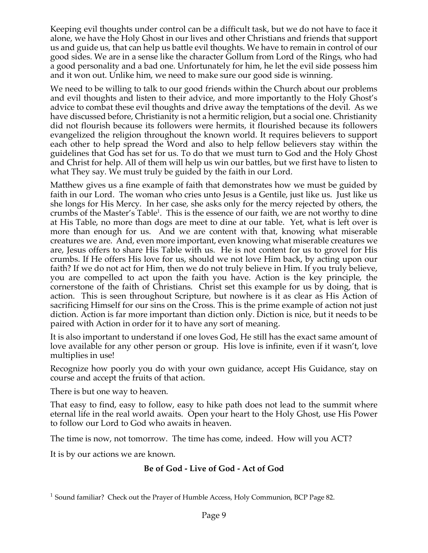Keeping evil thoughts under control can be a difficult task, but we do not have to face it alone, we have the Holy Ghost in our lives and other Christians and friends that support us and guide us, that can help us battle evil thoughts. We have to remain in control of our good sides. We are in a sense like the character Gollum from Lord of the Rings, who had a good personality and a bad one. Unfortunately for him, he let the evil side possess him and it won out. Unlike him, we need to make sure our good side is winning.

We need to be willing to talk to our good friends within the Church about our problems and evil thoughts and listen to their advice, and more importantly to the Holy Ghost's advice to combat these evil thoughts and drive away the temptations of the devil. As we have discussed before, Christianity is not a hermitic religion, but a social one. Christianity did not flourish because its followers were hermits, it flourished because its followers evangelized the religion throughout the known world. It requires believers to support each other to help spread the Word and also to help fellow believers stay within the guidelines that God has set for us. To do that we must turn to God and the Holy Ghost and Christ for help. All of them will help us win our battles, but we first have to listen to what They say. We must truly be guided by the faith in our Lord.

Matthew gives us a fine example of faith that demonstrates how we must be guided by faith in our Lord. The woman who cries unto Jesus is a Gentile, just like us. Just like us she longs for His Mercy. In her case, she asks only for the mercy rejected by others, the crumbs of the Master's Table<sup>1</sup>. This is the essence of our faith, we are not worthy to dine at His Table, no more than dogs are meet to dine at our table. Yet, what is left over is more than enough for us. And we are content with that, knowing what miserable creatures we are. And, even more important, even knowing what miserable creatures we are, Jesus offers to share His Table with us. He is not content for us to grovel for His crumbs. If He offers His love for us, should we not love Him back, by acting upon our faith? If we do not act for Him, then we do not truly believe in Him. If you truly believe, you are compelled to act upon the faith you have. Action is the key principle, the cornerstone of the faith of Christians. Christ set this example for us by doing, that is action. This is seen throughout Scripture, but nowhere is it as clear as His Action of sacrificing Himself for our sins on the Cross. This is the prime example of action not just diction. Action is far more important than diction only. Diction is nice, but it needs to be paired with Action in order for it to have any sort of meaning.

It is also important to understand if one loves God, He still has the exact same amount of love available for any other person or group. His love is infinite, even if it wasn't, love multiplies in use!

Recognize how poorly you do with your own guidance, accept His Guidance, stay on course and accept the fruits of that action.

There is but one way to heaven.

That easy to find, easy to follow, easy to hike path does not lead to the summit where eternal life in the real world awaits. Open your heart to the Holy Ghost, use His Power to follow our Lord to God who awaits in heaven.

The time is now, not tomorrow. The time has come, indeed. How will you ACT?

It is by our actions we are known.

# **Be of God - Live of God - Act of God**

<sup>&</sup>lt;sup>1</sup> Sound familiar? Check out the Prayer of Humble Access, Holy Communion, BCP Page 82.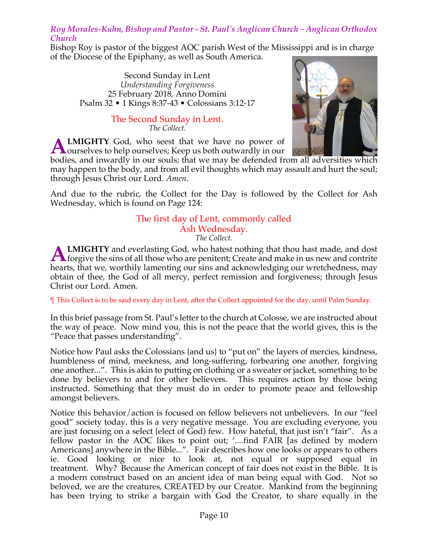## *Roy Morales-Kuhn, Bishop and Pastor - St. Paul's Anglican Church – Anglican Orthodox Church*

Bishop Roy is pastor of the biggest AOC parish West of the Mississippi and is in charge of the Diocese of the Epiphany, as well as South America.

Second Sunday in Lent *Understanding Forgiveness* 25 February 2018, Anno Domini Psalm 32 • 1 Kings 8:37-43 • Colossians 3:12-17

> The Second Sunday in Lent. *The Collect.*

**LMIGHTY** God, who seest that we have no power of **ALMIGHTY** God, who seest that we have no power of ourselves to help ourselves; Keep us both outwardly in our



bodies, and inwardly in our souls; that we may be defended from all adversities which may happen to the body, and from all evil thoughts which may assault and hurt the soul; through Jesus Christ our Lord. *Amen*.

And due to the rubric, the Collect for the Day is followed by the Collect for Ash Wednesday, which is found on Page 124:

#### The first day of Lent, commonly called Ash Wednesday. *The Collect.*

**LMIGHTY** and everlasting God, who hatest nothing that thou hast made, and dost **ALMIGHTY** and everlasting God, who hatest nothing that thou hast made, and dost forgive the sins of all those who are penitent; Create and make in us new and contrite that the sins of all those who are penitent; Create an hearts, that we, worthily lamenting our sins and acknowledging our wretchedness, may obtain of thee, the God of all mercy, perfect remission and forgiveness; through Jesus Christ our Lord. Amen.

¶ This Collect is to be said every day in Lent, after the Collect appointed for the day, until Palm Sunday.

In this brief passage from St. Paul's letter to the church at Colosse, we are instructed about the way of peace. Now mind you, this is not the peace that the world gives, this is the "Peace that passes understanding".

Notice how Paul asks the Colossians {and us} to "put on" the layers of mercies, kindness, humbleness of mind, meekness, and long-suffering, forbearing one another, forgiving one another...". This is akin to putting on clothing or a sweater or jacket, something to be done by believers to and for other believers. This requires action by those being instructed. Something that they must do in order to promote peace and fellowship amongst believers.

Notice this behavior/action is focused on fellow believers not unbelievers. In our "feel good" society today, this is a very negative message. You are excluding everyone, you are just focusing on a select {elect of God) few. How hateful, that just isn't "fair". As a fellow pastor in the AOC likes to point out; '....find FAIR [as defined by modern Americans] anywhere in the Bible...". Fair describes how one looks or appears to others ie. Good looking or nice to look at, not equal or supposed equal in treatment. Why? Because the American concept of fair does not exist in the Bible. It is a modern construct based on an ancient idea of man being equal with God. Not so beloved, we are the creatures, CREATED by our Creator. Mankind from the beginning has been trying to strike a bargain with God the Creator, to share equally in the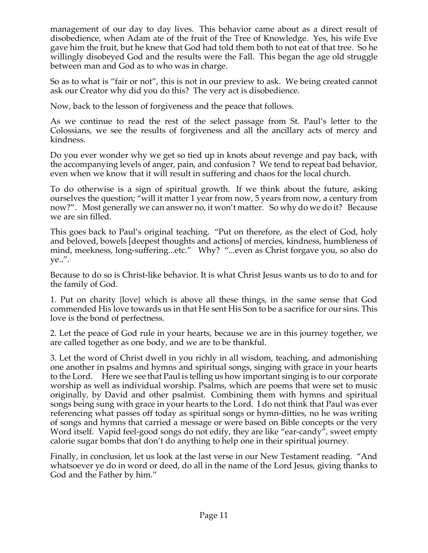management of our day to day lives. This behavior came about as a direct result of disobedience, when Adam ate of the fruit of the Tree of Knowledge. Yes, his wife Eve gave him the fruit, but he knew that God had told them both to not eat of that tree. So he willingly disobeyed God and the results were the Fall. This began the age old struggle between man and God as to who was in charge.

So as to what is "fair or not", this is not in our preview to ask. We being created cannot ask our Creator why did you do this? The very act is disobedience.

Now, back to the lesson of forgiveness and the peace that follows.

As we continue to read the rest of the select passage from St. Paul's letter to the Colossians, we see the results of forgiveness and all the ancillary acts of mercy and kindness.

Do you ever wonder why we get so tied up in knots about revenge and pay back, with the accompanying levels of anger, pain, and confusion ? We tend to repeat bad behavior, even when we know that it will result in suffering and chaos for the local church.

To do otherwise is a sign of spiritual growth. If we think about the future, asking ourselves the question; "will it matter 1 year from now, 5 years from now, a century from now?". Most generally we can answer no, it won't matter. So why do we do it? Because we are sin filled.

This goes back to Paul's original teaching. "Put on therefore, as the elect of God, holy and beloved, bowels [deepest thoughts and actions] of mercies, kindness, humbleness of mind, meekness, long-suffering...etc." Why? "...even as Christ forgave you, so also do ye..".

Because to do so is Christ-like behavior. It is what Christ Jesus wants us to do to and for the family of God.

1. Put on charity {love} which is above all these things, in the same sense that God commended His love towards us in that He sent His Son to be a sacrifice for our sins. This love is the bond of perfectness.

2. Let the peace of God rule in your hearts, because we are in this journey together, we are called together as one body, and we are to be thankful.

3. Let the word of Christ dwell in you richly in all wisdom, teaching, and admonishing one another in psalms and hymns and spiritual songs, singing with grace in your hearts to the Lord. Here we see that Paul is telling us how important singing is to our corporate worship as well as individual worship. Psalms, which are poems that were set to music originally, by David and other psalmist. Combining them with hymns and spiritual songs being sung with grace in your hearts to the Lord. I do not think that Paul was ever referencing what passes off today as spiritual songs or hymn-ditties, no he was writing of songs and hymns that carried a message or were based on Bible concepts or the very Word itself. Vapid feel-good songs do not edify, they are like "ear-candy", sweet empty calorie sugar bombs that don't do anything to help one in their spiritual journey.

Finally, in conclusion, let us look at the last verse in our New Testament reading. "And whatsoever ye do in word or deed, do all in the name of the Lord Jesus, giving thanks to God and the Father by him."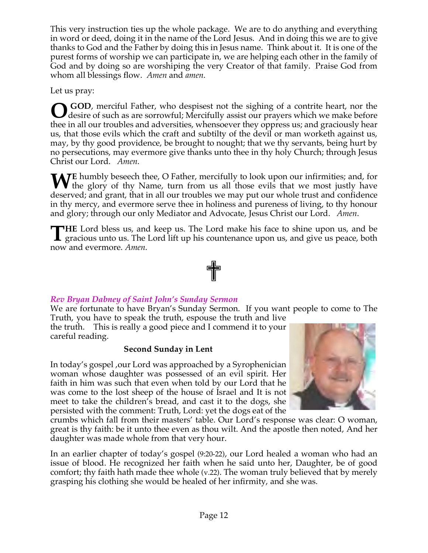This very instruction ties up the whole package. We are to do anything and everything in word or deed, doing it in the name of the Lord Jesus. And in doing this we are to give thanks to God and the Father by doing this in Jesus name. Think about it. It is one of the purest forms of worship we can participate in, we are helping each other in the family of God and by doing so are worshiping the very Creator of that family. Praise God from whom all blessings flow. *Amen* and *amen*.

Let us pray:

**GOD**, merciful Father, who despisest not the sighing of a contrite heart, nor the desire of such as are sorrowful; Mercifully assist our prayers which we make before thee in all our troubles and adversities, whensoever they oppress us; and graciously hear us, that those evils which the craft and subtilty of the devil or man worketh against us, may, by thy good providence, be brought to nought; that we thy servants, being hurt by no persecutions, may evermore give thanks unto thee in thy holy Church; through Jesus Christ our Lord. *Amen*. **O**

**E** humbly beseech thee, O Father, mercifully to look upon our infirmities; and, for WE humbly beseech thee, O Father, mercifully to look upon our infirmities; and, for the glory of thy Name, turn from us all those evils that we most justly have deserved; and grant, that in all our troubles we may put our whole trust and confidence in thy mercy, and evermore serve thee in holiness and pureness of living, to thy honour and glory; through our only Mediator and Advocate, Jesus Christ our Lord. *Amen*.

**HE** Lord bless us, and keep us. The Lord make his face to shine upon us, and be THE Lord bless us, and keep us. The Lord make his face to shine upon us, and be gracious unto us. The Lord lift up his countenance upon us, and give us peace, both now and evermore. *Amen*.



# *Rev Bryan Dabney of Saint John's Sunday Sermon*

We are fortunate to have Bryan's Sunday Sermon. If you want people to come to The Truth, you have to speak the truth, espouse the truth and live

the truth. This is really a good piece and I commend it to your careful reading.

# **Second Sunday in Lent**

In today's gospel ,our Lord was approached by a Syrophenician woman whose daughter was possessed of an evil spirit. Her faith in him was such that even when told by our Lord that he was come to the lost sheep of the house of Israel and It is not meet to take the children's bread, and cast it to the dogs, she persisted with the comment: Truth, Lord: yet the dogs eat of the



crumbs which fall from their masters' table. Our Lord's response was clear: O woman, great is thy faith: be it unto thee even as thou wilt. And the apostle then noted, And her daughter was made whole from that very hour.

In an earlier chapter of today's gospel (9:20-22), our Lord healed a woman who had an issue of blood. He recognized her faith when he said unto her, Daughter, be of good comfort; thy faith hath made thee whole (v.22). The woman truly believed that by merely grasping his clothing she would be healed of her infirmity, and she was.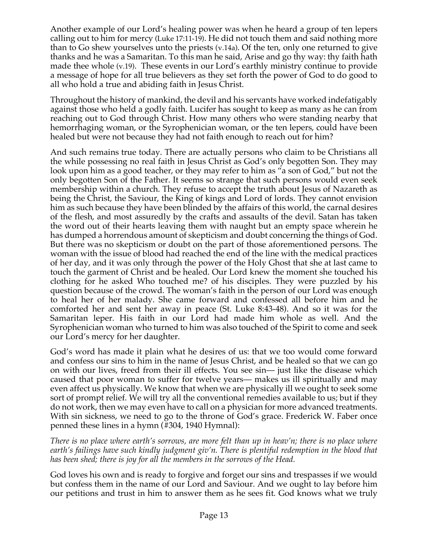Another example of our Lord's healing power was when he heard a group of ten lepers calling out to him for mercy (Luke 17:11-19). He did not touch them and said nothing more than to Go shew yourselves unto the priests (v.14a). Of the ten, only one returned to give thanks and he was a Samaritan. To this man he said, Arise and go thy way: thy faith hath made thee whole (v.19). These events in our Lord's earthly ministry continue to provide a message of hope for all true believers as they set forth the power of God to do good to all who hold a true and abiding faith in Jesus Christ.

Throughout the history of mankind, the devil and his servants have worked indefatigably against those who held a godly faith. Lucifer has sought to keep as many as he can from reaching out to God through Christ. How many others who were standing nearby that hemorrhaging woman, or the Syrophenician woman, or the ten lepers, could have been healed but were not because they had not faith enough to reach out for him?

And such remains true today. There are actually persons who claim to be Christians all the while possessing no real faith in Jesus Christ as God's only begotten Son. They may look upon him as a good teacher, or they may refer to him as "a son of God," but not the only begotten Son of the Father. It seems so strange that such persons would even seek membership within a church. They refuse to accept the truth about Jesus of Nazareth as being the Christ, the Saviour, the King of kings and Lord of lords. They cannot envision him as such because they have been blinded by the affairs of this world, the carnal desires of the flesh, and most assuredly by the crafts and assaults of the devil. Satan has taken the word out of their hearts leaving them with naught but an empty space wherein he has dumped a horrendous amount of skepticism and doubt concerning the things of God. But there was no skepticism or doubt on the part of those aforementioned persons. The woman with the issue of blood had reached the end of the line with the medical practices of her day, and it was only through the power of the Holy Ghost that she at last came to touch the garment of Christ and be healed. Our Lord knew the moment she touched his clothing for he asked Who touched me? of his disciples. They were puzzled by his question because of the crowd. The woman's faith in the person of our Lord was enough to heal her of her malady. She came forward and confessed all before him and he comforted her and sent her away in peace (St. Luke 8:43-48). And so it was for the Samaritan leper. His faith in our Lord had made him whole as well. And the Syrophenician woman who turned to him was also touched of the Spirit to come and seek our Lord's mercy for her daughter.

God's word has made it plain what he desires of us: that we too would come forward and confess our sins to him in the name of Jesus Christ, and be healed so that we can go on with our lives, freed from their ill effects. You see sin— just like the disease which caused that poor woman to suffer for twelve years— makes us ill spiritually and may even affect us physically. We know that when we are physically ill we ought to seek some sort of prompt relief. We will try all the conventional remedies available to us; but if they do not work, then we may even have to call on a physician for more advanced treatments. With sin sickness, we need to go to the throne of God's grace. Frederick W. Faber once penned these lines in a hymn (#304, 1940 Hymnal):

*There is no place where earth's sorrows, are more felt than up in heav'n; there is no place where earth's failings have such kindly judgment giv'n. There is plentiful redemption in the blood that has been shed; there is joy for all the members in the sorrows of the Head.*

God loves his own and is ready to forgive and forget our sins and trespasses if we would but confess them in the name of our Lord and Saviour. And we ought to lay before him our petitions and trust in him to answer them as he sees fit. God knows what we truly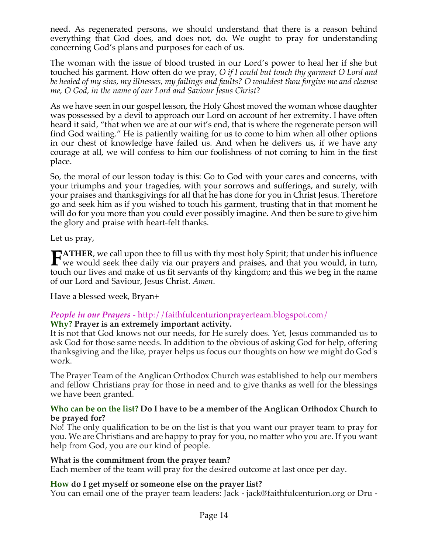need. As regenerated persons, we should understand that there is a reason behind everything that God does, and does not, do. We ought to pray for understanding concerning God's plans and purposes for each of us.

The woman with the issue of blood trusted in our Lord's power to heal her if she but touched his garment. How often do we pray, *O if I could but touch thy garment O Lord and be healed of my sins, my illnesses, my failings and faults? O wouldest thou forgive me and cleanse me, O God, in the name of our Lord and Saviour Jesus Christ*?

As we have seen in our gospel lesson, the Holy Ghost moved the woman whose daughter was possessed by a devil to approach our Lord on account of her extremity. I have often heard it said, "that when we are at our wit's end, that is where the regenerate person will find God waiting." He is patiently waiting for us to come to him when all other options in our chest of knowledge have failed us. And when he delivers us, if we have any courage at all, we will confess to him our foolishness of not coming to him in the first place.

So, the moral of our lesson today is this: Go to God with your cares and concerns, with your triumphs and your tragedies, with your sorrows and sufferings, and surely, with your praises and thanksgivings for all that he has done for you in Christ Jesus. Therefore go and seek him as if you wished to touch his garment, trusting that in that moment he will do for you more than you could ever possibly imagine. And then be sure to give him the glory and praise with heart-felt thanks.

Let us pray,

**ATHER**, we call upon thee to fill us with thy most holy Spirit; that under his influence **FATHER**, we call upon thee to fill us with thy most holy Spirit; that under his influence we would seek thee daily via our prayers and praises, and that you would, in turn, that we have been linear and mathematic of the l touch our lives and make of us fit servants of thy kingdom; and this we beg in the name of our Lord and Saviour, Jesus Christ. *Amen*.

Have a blessed week, Bryan+

#### *People in our Prayers* - http://faithfulcenturionprayerteam.blogspot.com/ **Why? Prayer is an extremely important activity.**

It is not that God knows not our needs, for He surely does. Yet, Jesus commanded us to ask God for those same needs. In addition to the obvious of asking God for help, offering thanksgiving and the like, prayer helps us focus our thoughts on how we might do God's work.

The Prayer Team of the Anglican Orthodox Church was established to help our members and fellow Christians pray for those in need and to give thanks as well for the blessings we have been granted.

#### **Who can be on the list? Do I have to be a member of the Anglican Orthodox Church to be prayed for?**

No! The only qualification to be on the list is that you want our prayer team to pray for you. We are Christians and are happy to pray for you, no matter who you are. If you want help from God, you are our kind of people.

# **What is the commitment from the prayer team?**

Each member of the team will pray for the desired outcome at last once per day.

#### **How do I get myself or someone else on the prayer list?**

You can email one of the prayer team leaders: Jack - jack@faithfulcenturion.org or Dru -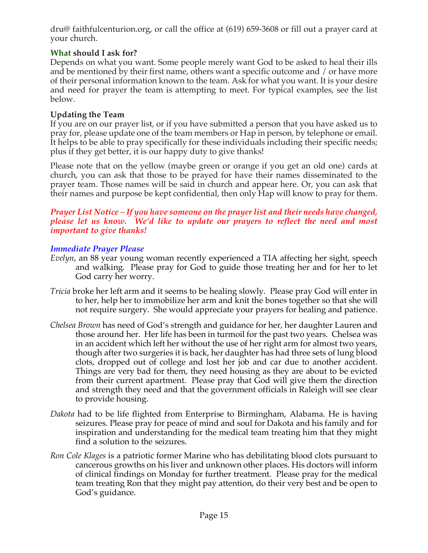dru@ faithfulcenturion.org, or call the office at (619) 659-3608 or fill out a prayer card at your church.

# **What should I ask for?**

Depends on what you want. Some people merely want God to be asked to heal their ills and be mentioned by their first name, others want a specific outcome and / or have more of their personal information known to the team. Ask for what you want. It is your desire and need for prayer the team is attempting to meet. For typical examples, see the list below.

# **Updating the Team**

If you are on our prayer list, or if you have submitted a person that you have asked us to pray for, please update one of the team members or Hap in person, by telephone or email. It helps to be able to pray specifically for these individuals including their specific needs; plus if they get better, it is our happy duty to give thanks!

Please note that on the yellow (maybe green or orange if you get an old one) cards at church, you can ask that those to be prayed for have their names disseminated to the prayer team. Those names will be said in church and appear here. Or, you can ask that their names and purpose be kept confidential, then only Hap will know to pray for them.

#### *Prayer List Notice – If you have someone on the prayer list and their needs have changed, please let us know. We'd like to update our prayers to reflect the need and most important to give thanks!*

# *Immediate Prayer Please*

- *Evelyn*, an 88 year young woman recently experienced a TIA affecting her sight, speech and walking. Please pray for God to guide those treating her and for her to let God carry her worry.
- *Tricia* broke her left arm and it seems to be healing slowly. Please pray God will enter in to her, help her to immobilize her arm and knit the bones together so that she will not require surgery. She would appreciate your prayers for healing and patience.
- *Chelsea Brown* has need of God's strength and guidance for her, her daughter Lauren and those around her. Her life has been in turmoil for the past two years. Chelsea was in an accident which left her without the use of her right arm for almost two years, though after two surgeries it is back, her daughter has had three sets of lung blood clots, dropped out of college and lost her job and car due to another accident. Things are very bad for them, they need housing as they are about to be evicted from their current apartment. Please pray that God will give them the direction and strength they need and that the government officials in Raleigh will see clear to provide housing.
- *Dakota* had to be life flighted from Enterprise to Birmingham, Alabama. He is having seizures. Please pray for peace of mind and soul for Dakota and his family and for inspiration and understanding for the medical team treating him that they might find a solution to the seizures.
- *Ron Cole Klages* is a patriotic former Marine who has debilitating blood clots pursuant to cancerous growths on his liver and unknown other places. His doctors will inform of clinical findings on Monday for further treatment. Please pray for the medical team treating Ron that they might pay attention, do their very best and be open to God's guidance.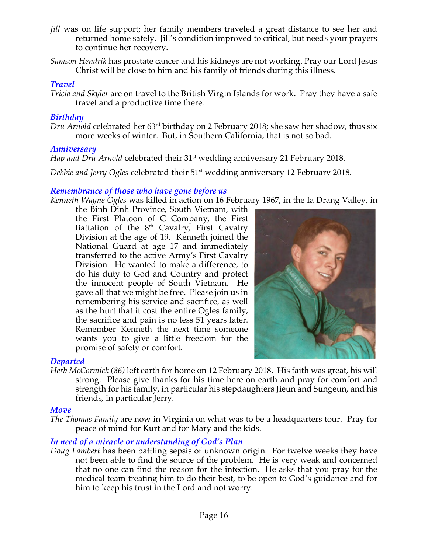- *Jill* was on life support; her family members traveled a great distance to see her and returned home safely. Jill's condition improved to critical, but needs your prayers to continue her recovery.
- *Samson Hendrik* has prostate cancer and his kidneys are not working. Pray our Lord Jesus Christ will be close to him and his family of friends during this illness.

### *Travel*

*Tricia and Skyler* are on travel to the British Virgin Islands for work. Pray they have a safe travel and a productive time there.

## *Birthday*

*Dru Arnold* celebrated her 63rd birthday on 2 February 2018; she saw her shadow, thus six more weeks of winter. But, in Southern California, that is not so bad.

### *Anniversary*

*Hap and Dru Arnold celebrated their* 31<sup>st</sup> wedding anniversary 21 February 2018.

*Debbie and Jerry Ogles* celebrated their 51st wedding anniversary 12 February 2018.

### *Remembrance of those who have gone before us*

*Kenneth Wayne Ogles* was killed in action on 16 February 1967, in the Ia Drang Valley, in

the Binh Dinh Province, South Vietnam, with the First Platoon of C Company, the First Battalion of the  $8<sup>th</sup>$  Cavalry, First Cavalry Division at the age of 19. Kenneth joined the National Guard at age 17 and immediately transferred to the active Army's First Cavalry Division. He wanted to make a difference, to do his duty to God and Country and protect the innocent people of South Vietnam. He gave all that we might be free. Please join us in remembering his service and sacrifice, as well as the hurt that it cost the entire Ogles family, the sacrifice and pain is no less 51 years later. Remember Kenneth the next time someone wants you to give a little freedom for the promise of safety or comfort.



#### *Departed*

*Herb McCormick (86)* left earth for home on 12 February 2018. His faith was great, his will strong. Please give thanks for his time here on earth and pray for comfort and strength for his family, in particular his stepdaughters Jieun and Sungeun, and his friends, in particular Jerry.

#### *Move*

*The Thomas Family* are now in Virginia on what was to be a headquarters tour. Pray for peace of mind for Kurt and for Mary and the kids.

# *In need of a miracle or understanding of God's Plan*

*Doug Lambert* has been battling sepsis of unknown origin. For twelve weeks they have not been able to find the source of the problem. He is very weak and concerned that no one can find the reason for the infection. He asks that you pray for the medical team treating him to do their best, to be open to God's guidance and for him to keep his trust in the Lord and not worry.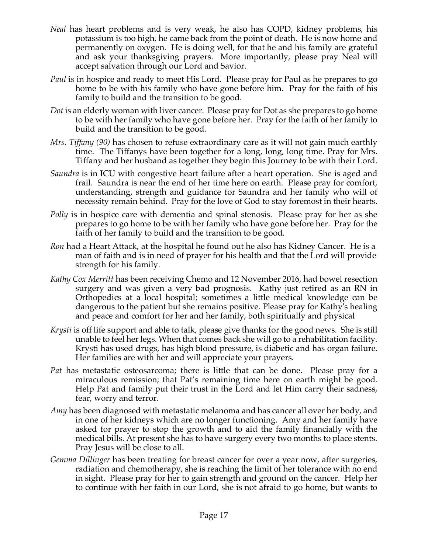- *Neal* has heart problems and is very weak, he also has COPD, kidney problems, his potassium is too high, he came back from the point of death. He is now home and permanently on oxygen. He is doing well, for that he and his family are grateful and ask your thanksgiving prayers. More importantly, please pray Neal will accept salvation through our Lord and Savior.
- *Paul* is in hospice and ready to meet His Lord. Please pray for Paul as he prepares to go home to be with his family who have gone before him. Pray for the faith of his family to build and the transition to be good.
- *Dot* is an elderly woman with liver cancer. Please pray for Dot as she prepares to go home to be with her family who have gone before her. Pray for the faith of her family to build and the transition to be good.
- *Mrs. Tiffany (90)* has chosen to refuse extraordinary care as it will not gain much earthly time. The Tiffanys have been together for a long, long, long time. Pray for Mrs. Tiffany and her husband as together they begin this Journey to be with their Lord.
- *Saundra* is in ICU with congestive heart failure after a heart operation. She is aged and frail. Saundra is near the end of her time here on earth. Please pray for comfort, understanding, strength and guidance for Saundra and her family who will of necessity remain behind. Pray for the love of God to stay foremost in their hearts.
- *Polly* is in hospice care with dementia and spinal stenosis. Please pray for her as she prepares to go home to be with her family who have gone before her. Pray for the faith of her family to build and the transition to be good.
- *Ron* had a Heart Attack, at the hospital he found out he also has Kidney Cancer. He is a man of faith and is in need of prayer for his health and that the Lord will provide strength for his family.
- *Kathy Cox Merritt* has been receiving Chemo and 12 November 2016, had bowel resection surgery and was given a very bad prognosis. Kathy just retired as an RN in Orthopedics at a local hospital; sometimes a little medical knowledge can be dangerous to the patient but she remains positive. Please pray for Kathy's healing and peace and comfort for her and her family, both spiritually and physical
- *Krysti* is off life support and able to talk, please give thanks for the good news. She is still unable to feel her legs. When that comes back she will go to a rehabilitation facility. Krysti has used drugs, has high blood pressure, is diabetic and has organ failure. Her families are with her and will appreciate your prayers.
- *Pat* has metastatic osteosarcoma; there is little that can be done. Please pray for a miraculous remission; that Pat's remaining time here on earth might be good. Help Pat and family put their trust in the Lord and let Him carry their sadness, fear, worry and terror.
- *Amy* has been diagnosed with metastatic melanoma and has cancer all over her body, and in one of her kidneys which are no longer functioning. Amy and her family have asked for prayer to stop the growth and to aid the family financially with the medical bills. At present she has to have surgery every two months to place stents. Pray Jesus will be close to all.
- *Gemma Dillinger* has been treating for breast cancer for over a year now, after surgeries, radiation and chemotherapy, she is reaching the limit of her tolerance with no end in sight. Please pray for her to gain strength and ground on the cancer. Help her to continue with her faith in our Lord, she is not afraid to go home, but wants to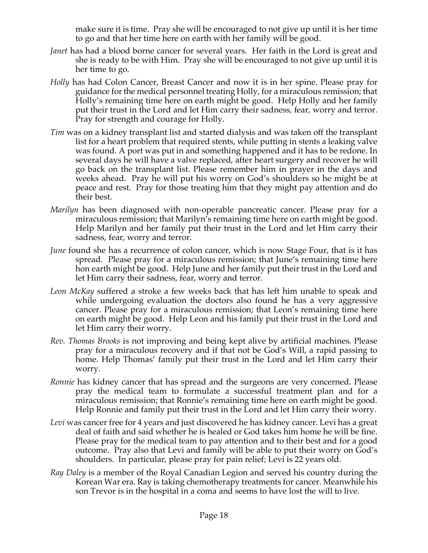make sure it is time. Pray she will be encouraged to not give up until it is her time to go and that her time here on earth with her family will be good.

- *Janet* has had a blood borne cancer for several years. Her faith in the Lord is great and she is ready to be with Him. Pray she will be encouraged to not give up until it is her time to go.
- *Holly* has had Colon Cancer, Breast Cancer and now it is in her spine. Please pray for guidance for the medical personnel treating Holly, for a miraculous remission; that Holly's remaining time here on earth might be good. Help Holly and her family put their trust in the Lord and let Him carry their sadness, fear, worry and terror. Pray for strength and courage for Holly.
- *Tim* was on a kidney transplant list and started dialysis and was taken off the transplant list for a heart problem that required stents, while putting in stents a leaking valve was found. A port was put in and something happened and it has to be redone. In several days he will have a valve replaced, after heart surgery and recover he will go back on the transplant list. Please remember him in prayer in the days and weeks ahead. Pray he will put his worry on God's shoulders so he might be at peace and rest. Pray for those treating him that they might pay attention and do their best.
- *Marilyn* has been diagnosed with non-operable pancreatic cancer. Please pray for a miraculous remission; that Marilyn's remaining time here on earth might be good. Help Marilyn and her family put their trust in the Lord and let Him carry their sadness, fear, worry and terror.
- *June* found she has a recurrence of colon cancer, which is now Stage Four, that is it has spread. Please pray for a miraculous remission; that June's remaining time here hon earth might be good. Help June and her family put their trust in the Lord and let Him carry their sadness, fear, worry and terror.
- *Leon McKay* suffered a stroke a few weeks back that has left him unable to speak and while undergoing evaluation the doctors also found he has a very aggressive cancer. Please pray for a miraculous remission; that Leon's remaining time here on earth might be good. Help Leon and his family put their trust in the Lord and let Him carry their worry.
- *Rev. Thomas Brooks* is not improving and being kept alive by artificial machines. Please pray for a miraculous recovery and if that not be God's Will, a rapid passing to home. Help Thomas' family put their trust in the Lord and let Him carry their worry.
- *Ronnie* has kidney cancer that has spread and the surgeons are very concerned. Please pray the medical team to formulate a successful treatment plan and for a miraculous remission; that Ronnie's remaining time here on earth might be good. Help Ronnie and family put their trust in the Lord and let Him carry their worry.
- Levi was cancer free for 4 years and just discovered he has kidney cancer. Levi has a great deal of faith and said whether he is healed or God takes him home he will be fine. Please pray for the medical team to pay attention and to their best and for a good outcome. Pray also that Levi and family will be able to put their worry on God's shoulders. In particular, please pray for pain relief; Levi is 22 years old.
- *Ray Daley* is a member of the Royal Canadian Legion and served his country during the Korean War era. Ray is taking chemotherapy treatments for cancer. Meanwhile his son Trevor is in the hospital in a coma and seems to have lost the will to live.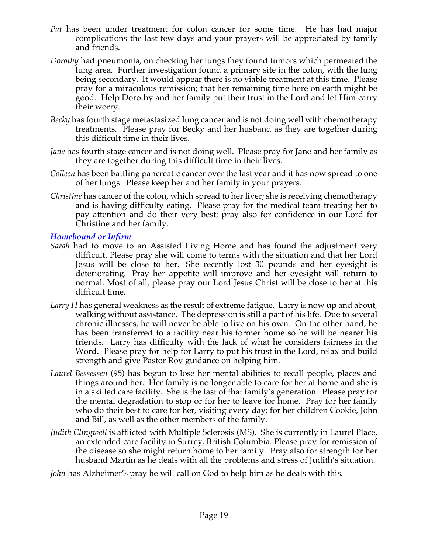- *Pat* has been under treatment for colon cancer for some time. He has had major complications the last few days and your prayers will be appreciated by family and friends.
- *Dorothy* had pneumonia, on checking her lungs they found tumors which permeated the lung area. Further investigation found a primary site in the colon, with the lung being secondary. It would appear there is no viable treatment at this time. Please pray for a miraculous remission; that her remaining time here on earth might be good. Help Dorothy and her family put their trust in the Lord and let Him carry their worry.
- *Becky* has fourth stage metastasized lung cancer and is not doing well with chemotherapy treatments. Please pray for Becky and her husband as they are together during this difficult time in their lives.
- *Jane* has fourth stage cancer and is not doing well. Please pray for Jane and her family as they are together during this difficult time in their lives.
- *Colleen* has been battling pancreatic cancer over the last year and it has now spread to one of her lungs. Please keep her and her family in your prayers.
- *Christine* has cancer of the colon, which spread to her liver; she is receiving chemotherapy and is having difficulty eating. Please pray for the medical team treating her to pay attention and do their very best; pray also for confidence in our Lord for Christine and her family.

# *Homebound or Infirm*

- *Sarah* had to move to an Assisted Living Home and has found the adjustment very difficult. Please pray she will come to terms with the situation and that her Lord Jesus will be close to her. She recently lost 30 pounds and her eyesight is deteriorating. Pray her appetite will improve and her eyesight will return to normal. Most of all, please pray our Lord Jesus Christ will be close to her at this difficult time.
- *Larry H* has general weakness as the result of extreme fatigue. Larry is now up and about, walking without assistance. The depression is still a part of his life. Due to several chronic illnesses, he will never be able to live on his own. On the other hand, he has been transferred to a facility near his former home so he will be nearer his friends. Larry has difficulty with the lack of what he considers fairness in the Word. Please pray for help for Larry to put his trust in the Lord, relax and build strength and give Pastor Roy guidance on helping him.
- *Laurel Bessessen* (95) has begun to lose her mental abilities to recall people, places and things around her. Her family is no longer able to care for her at home and she is in a skilled care facility. She is the last of that family's generation. Please pray for the mental degradation to stop or for her to leave for home. Pray for her family who do their best to care for her, visiting every day; for her children Cookie, John and Bill, as well as the other members of the family.
- *Judith Clingwall* is afflicted with Multiple Sclerosis (MS). She is currently in Laurel Place, an extended care facility in Surrey, British Columbia. Please pray for remission of the disease so she might return home to her family. Pray also for strength for her husband Martin as he deals with all the problems and stress of Judith's situation.
- *John* has Alzheimer's pray he will call on God to help him as he deals with this.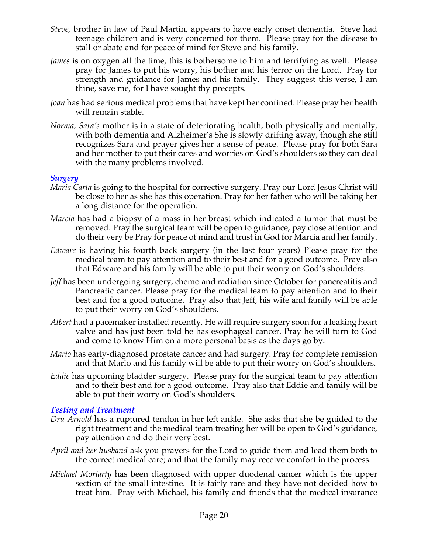- *Steve,* brother in law of Paul Martin, appears to have early onset dementia. Steve had teenage children and is very concerned for them. Please pray for the disease to stall or abate and for peace of mind for Steve and his family.
- *James* is on oxygen all the time, this is bothersome to him and terrifying as well. Please pray for James to put his worry, his bother and his terror on the Lord. Pray for strength and guidance for James and his family. They suggest this verse, I am thine, save me, for I have sought thy precepts.
- *Joan* has had serious medical problems that have kept her confined. Please pray her health will remain stable.
- *Norma, Sara's* mother is in a state of deteriorating health, both physically and mentally, with both dementia and Alzheimer's She is slowly drifting away, though she still recognizes Sara and prayer gives her a sense of peace. Please pray for both Sara and her mother to put their cares and worries on God's shoulders so they can deal with the many problems involved.

### *Surgery*

- *Maria Carla* is going to the hospital for corrective surgery. Pray our Lord Jesus Christ will be close to her as she has this operation. Pray for her father who will be taking her a long distance for the operation.
- *Marcia* has had a biopsy of a mass in her breast which indicated a tumor that must be removed. Pray the surgical team will be open to guidance, pay close attention and do their very be Pray for peace of mind and trust in God for Marcia and her family.
- *Edware* is having his fourth back surgery (in the last four years) Please pray for the medical team to pay attention and to their best and for a good outcome. Pray also that Edware and his family will be able to put their worry on God's shoulders.
- *Jeff* has been undergoing surgery, chemo and radiation since October for pancreatitis and Pancreatic cancer. Please pray for the medical team to pay attention and to their best and for a good outcome. Pray also that Jeff, his wife and family will be able to put their worry on God's shoulders.
- *Albert* had a pacemaker installed recently. He will require surgery soon for a leaking heart valve and has just been told he has esophageal cancer. Pray he will turn to God and come to know Him on a more personal basis as the days go by.
- *Mario* has early-diagnosed prostate cancer and had surgery. Pray for complete remission and that Mario and his family will be able to put their worry on God's shoulders.
- *Eddie* has upcoming bladder surgery. Please pray for the surgical team to pay attention and to their best and for a good outcome. Pray also that Eddie and family will be able to put their worry on God's shoulders.

#### *Testing and Treatment*

- *Dru Arnold* has a ruptured tendon in her left ankle. She asks that she be guided to the right treatment and the medical team treating her will be open to God's guidance, pay attention and do their very best.
- *April and her husband* ask you prayers for the Lord to guide them and lead them both to the correct medical care; and that the family may receive comfort in the process.
- *Michael Moriarty* has been diagnosed with upper duodenal cancer which is the upper section of the small intestine. It is fairly rare and they have not decided how to treat him. Pray with Michael, his family and friends that the medical insurance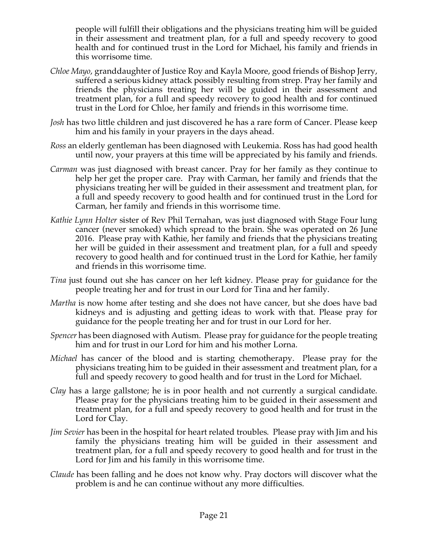people will fulfill their obligations and the physicians treating him will be guided in their assessment and treatment plan, for a full and speedy recovery to good health and for continued trust in the Lord for Michael, his family and friends in this worrisome time.

- *Chloe Mayo*, granddaughter of Justice Roy and Kayla Moore, good friends of Bishop Jerry, suffered a serious kidney attack possibly resulting from strep. Pray her family and friends the physicians treating her will be guided in their assessment and treatment plan, for a full and speedy recovery to good health and for continued trust in the Lord for Chloe, her family and friends in this worrisome time.
- *Josh* has two little children and just discovered he has a rare form of Cancer. Please keep him and his family in your prayers in the days ahead.
- *Ross* an elderly gentleman has been diagnosed with Leukemia. Ross has had good health until now, your prayers at this time will be appreciated by his family and friends.
- *Carman* was just diagnosed with breast cancer. Pray for her family as they continue to help her get the proper care. Pray with Carman, her family and friends that the physicians treating her will be guided in their assessment and treatment plan, for a full and speedy recovery to good health and for continued trust in the Lord for Carman, her family and friends in this worrisome time.
- *Kathie Lynn Holter* sister of Rev Phil Ternahan, was just diagnosed with Stage Four lung cancer (never smoked) which spread to the brain. She was operated on 26 June 2016. Please pray with Kathie, her family and friends that the physicians treating her will be guided in their assessment and treatment plan, for a full and speedy recovery to good health and for continued trust in the Lord for Kathie, her family and friends in this worrisome time.
- *Tina* just found out she has cancer on her left kidney. Please pray for guidance for the people treating her and for trust in our Lord for Tina and her family.
- *Martha* is now home after testing and she does not have cancer, but she does have bad kidneys and is adjusting and getting ideas to work with that. Please pray for guidance for the people treating her and for trust in our Lord for her.
- *Spencer* has been diagnosed with Autism. Please pray for guidance for the people treating him and for trust in our Lord for him and his mother Lorna.
- *Michael* has cancer of the blood and is starting chemotherapy. Please pray for the physicians treating him to be guided in their assessment and treatment plan, for a full and speedy recovery to good health and for trust in the Lord for Michael.
- *Clay* has a large gallstone; he is in poor health and not currently a surgical candidate. Please pray for the physicians treating him to be guided in their assessment and treatment plan, for a full and speedy recovery to good health and for trust in the Lord for Clay.
- *Jim Sevier* has been in the hospital for heart related troubles. Please pray with Jim and his family the physicians treating him will be guided in their assessment and treatment plan, for a full and speedy recovery to good health and for trust in the Lord for Jim and his family in this worrisome time.
- *Claude* has been falling and he does not know why. Pray doctors will discover what the problem is and he can continue without any more difficulties.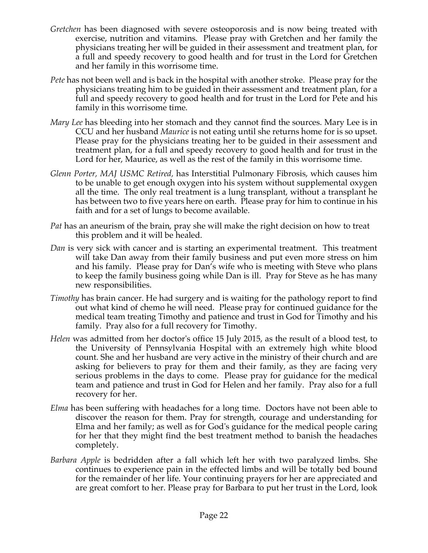- *Gretchen* has been diagnosed with severe osteoporosis and is now being treated with exercise, nutrition and vitamins. Please pray with Gretchen and her family the physicians treating her will be guided in their assessment and treatment plan, for a full and speedy recovery to good health and for trust in the Lord for Gretchen and her family in this worrisome time.
- *Pete* has not been well and is back in the hospital with another stroke. Please pray for the physicians treating him to be guided in their assessment and treatment plan, for a full and speedy recovery to good health and for trust in the Lord for Pete and his family in this worrisome time.
- *Mary Lee* has bleeding into her stomach and they cannot find the sources. Mary Lee is in CCU and her husband *Maurice* is not eating until she returns home for is so upset. Please pray for the physicians treating her to be guided in their assessment and treatment plan, for a full and speedy recovery to good health and for trust in the Lord for her, Maurice, as well as the rest of the family in this worrisome time.
- *Glenn Porter, MAJ USMC Retired,* has Interstitial Pulmonary Fibrosis, which causes him to be unable to get enough oxygen into his system without supplemental oxygen all the time. The only real treatment is a lung transplant, without a transplant he has between two to five years here on earth. Please pray for him to continue in his faith and for a set of lungs to become available.
- *Pat* has an aneurism of the brain, pray she will make the right decision on how to treat this problem and it will be healed.
- *Dan* is very sick with cancer and is starting an experimental treatment. This treatment will take Dan away from their family business and put even more stress on him and his family. Please pray for Dan's wife who is meeting with Steve who plans to keep the family business going while Dan is ill. Pray for Steve as he has many new responsibilities.
- *Timothy* has brain cancer. He had surgery and is waiting for the pathology report to find out what kind of chemo he will need. Please pray for continued guidance for the medical team treating Timothy and patience and trust in God for Timothy and his family. Pray also for a full recovery for Timothy.
- *Helen* was admitted from her doctor's office 15 July 2015, as the result of a blood test, to the University of Pennsylvania Hospital with an extremely high white blood count. She and her husband are very active in the ministry of their church and are asking for believers to pray for them and their family, as they are facing very serious problems in the days to come. Please pray for guidance for the medical team and patience and trust in God for Helen and her family. Pray also for a full recovery for her.
- *Elma* has been suffering with headaches for a long time. Doctors have not been able to discover the reason for them. Pray for strength, courage and understanding for Elma and her family; as well as for God's guidance for the medical people caring for her that they might find the best treatment method to banish the headaches completely.
- *Barbara Apple* is bedridden after a fall which left her with two paralyzed limbs. She continues to experience pain in the effected limbs and will be totally bed bound for the remainder of her life. Your continuing prayers for her are appreciated and are great comfort to her. Please pray for Barbara to put her trust in the Lord, look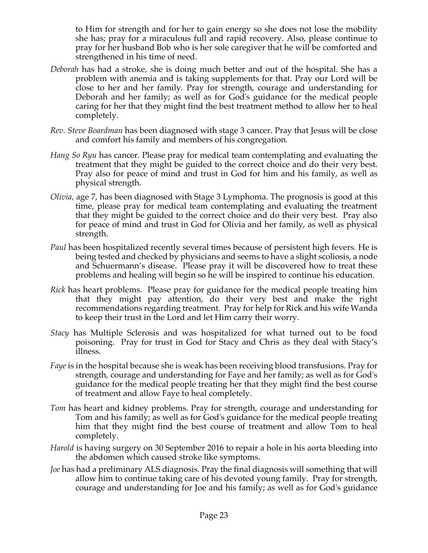to Him for strength and for her to gain energy so she does not lose the mobility she has; pray for a miraculous full and rapid recovery. Also, please continue to pray for her husband Bob who is her sole caregiver that he will be comforted and strengthened in his time of need.

- *Deborah* has had a stroke, she is doing much better and out of the hospital. She has a problem with anemia and is taking supplements for that. Pray our Lord will be close to her and her family. Pray for strength, courage and understanding for Deborah and her family; as well as for God's guidance for the medical people caring for her that they might find the best treatment method to allow her to heal completely.
- *Rev. Steve Boardman* has been diagnosed with stage 3 cancer. Pray that Jesus will be close and comfort his family and members of his congregation*.*
- *Hang So Ryu* has cancer. Please pray for medical team contemplating and evaluating the treatment that they might be guided to the correct choice and do their very best. Pray also for peace of mind and trust in God for him and his family, as well as physical strength.
- *Olivia,* age 7, has been diagnosed with Stage 3 Lymphoma. The prognosis is good at this time, please pray for medical team contemplating and evaluating the treatment that they might be guided to the correct choice and do their very best. Pray also for peace of mind and trust in God for Olivia and her family, as well as physical strength.
- *Paul* has been hospitalized recently several times because of persistent high fevers. He is being tested and checked by physicians and seems to have a slight scoliosis, a node and Schuermann's disease. Please pray it will be discovered how to treat these problems and healing will begin so he will be inspired to continue his education.
- *Rick* has heart problems. Please pray for guidance for the medical people treating him that they might pay attention, do their very best and make the right recommendations regarding treatment. Pray for help for Rick and his wife Wanda to keep their trust in the Lord and let Him carry their worry.
- *Stacy* has Multiple Sclerosis and was hospitalized for what turned out to be food poisoning. Pray for trust in God for Stacy and Chris as they deal with Stacy's illness.
- *Faye* is in the hospital because she is weak has been receiving blood transfusions. Pray for strength, courage and understanding for Faye and her family; as well as for God's guidance for the medical people treating her that they might find the best course of treatment and allow Faye to heal completely.
- *Tom* has heart and kidney problems. Pray for strength, courage and understanding for Tom and his family; as well as for God's guidance for the medical people treating him that they might find the best course of treatment and allow Tom to heal completely.
- *Harold* is having surgery on 30 September 2016 to repair a hole in his aorta bleeding into the abdomen which caused stroke like symptoms.
- *Joe* has had a preliminary ALS diagnosis. Pray the final diagnosis will something that will allow him to continue taking care of his devoted young family. Pray for strength, courage and understanding for Joe and his family; as well as for God's guidance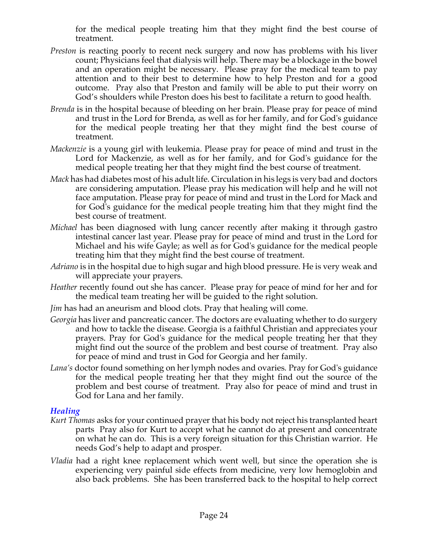for the medical people treating him that they might find the best course of treatment.

- *Preston* is reacting poorly to recent neck surgery and now has problems with his liver count; Physicians feel that dialysis will help. There may be a blockage in the bowel and an operation might be necessary. Please pray for the medical team to pay attention and to their best to determine how to help Preston and for a good outcome. Pray also that Preston and family will be able to put their worry on God's shoulders while Preston does his best to facilitate a return to good health.
- *Brenda* is in the hospital because of bleeding on her brain. Please pray for peace of mind and trust in the Lord for Brenda, as well as for her family, and for God's guidance for the medical people treating her that they might find the best course of treatment.
- *Mackenzie* is a young girl with leukemia. Please pray for peace of mind and trust in the Lord for Mackenzie, as well as for her family, and for God's guidance for the medical people treating her that they might find the best course of treatment.
- *Mack* has had diabetes most of his adult life. Circulation in his legs is very bad and doctors are considering amputation. Please pray his medication will help and he will not face amputation. Please pray for peace of mind and trust in the Lord for Mack and for God's guidance for the medical people treating him that they might find the best course of treatment.
- *Michael* has been diagnosed with lung cancer recently after making it through gastro intestinal cancer last year. Please pray for peace of mind and trust in the Lord for Michael and his wife Gayle; as well as for God's guidance for the medical people treating him that they might find the best course of treatment.
- *Adriano* is in the hospital due to high sugar and high blood pressure. He is very weak and will appreciate your prayers.
- *Heather* recently found out she has cancer. Please pray for peace of mind for her and for the medical team treating her will be guided to the right solution.
- *Jim* has had an aneurism and blood clots. Pray that healing will come.
- *Georgia* has liver and pancreatic cancer. The doctors are evaluating whether to do surgery and how to tackle the disease. Georgia is a faithful Christian and appreciates your prayers. Pray for God's guidance for the medical people treating her that they might find out the source of the problem and best course of treatment. Pray also for peace of mind and trust in God for Georgia and her family.
- *Lana's* doctor found something on her lymph nodes and ovaries. Pray for God's guidance for the medical people treating her that they might find out the source of the problem and best course of treatment. Pray also for peace of mind and trust in God for Lana and her family.

#### *Healing*

- *Kurt Thomas* asks for your continued prayer that his body not reject his transplanted heart parts Pray also for Kurt to accept what he cannot do at present and concentrate on what he can do. This is a very foreign situation for this Christian warrior. He needs God's help to adapt and prosper.
- *Vladia* had a right knee replacement which went well, but since the operation she is experiencing very painful side effects from medicine, very low hemoglobin and also back problems. She has been transferred back to the hospital to help correct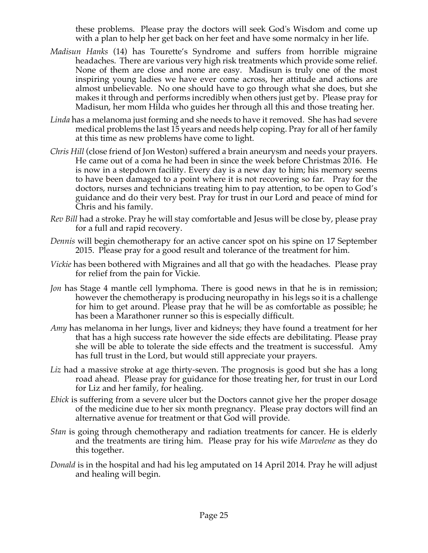these problems. Please pray the doctors will seek God's Wisdom and come up with a plan to help her get back on her feet and have some normalcy in her life.

- *Madisun Hanks* (14) has Tourette's Syndrome and suffers from horrible migraine headaches. There are various very high risk treatments which provide some relief. None of them are close and none are easy. Madisun is truly one of the most inspiring young ladies we have ever come across, her attitude and actions are almost unbelievable. No one should have to go through what she does, but she makes it through and performs incredibly when others just get by. Please pray for Madisun, her mom Hilda who guides her through all this and those treating her.
- *Linda* has a melanoma just forming and she needs to have it removed. She has had severe medical problems the last 15 years and needs help coping. Pray for all of her family at this time as new problems have come to light.
- *Chris Hill* (close friend of Jon Weston) suffered a brain aneurysm and needs your prayers. He came out of a coma he had been in since the week before Christmas 2016. He is now in a stepdown facility. Every day is a new day to him; his memory seems to have been damaged to a point where it is not recovering so far. Pray for the doctors, nurses and technicians treating him to pay attention, to be open to God's guidance and do their very best. Pray for trust in our Lord and peace of mind for Chris and his family.
- *Rev Bill* had a stroke. Pray he will stay comfortable and Jesus will be close by, please pray for a full and rapid recovery.
- *Dennis* will begin chemotherapy for an active cancer spot on his spine on 17 September 2015. Please pray for a good result and tolerance of the treatment for him.
- *Vickie* has been bothered with Migraines and all that go with the headaches. Please pray for relief from the pain for Vickie.
- *Jon* has Stage 4 mantle cell lymphoma. There is good news in that he is in remission; however the chemotherapy is producing neuropathy in his legs so it is a challenge for him to get around. Please pray that he will be as comfortable as possible; he has been a Marathoner runner so this is especially difficult.
- *Amy* has melanoma in her lungs, liver and kidneys; they have found a treatment for her that has a high success rate however the side effects are debilitating. Please pray she will be able to tolerate the side effects and the treatment is successful. Amy has full trust in the Lord, but would still appreciate your prayers.
- *Liz* had a massive stroke at age thirty-seven. The prognosis is good but she has a long road ahead. Please pray for guidance for those treating her, for trust in our Lord for Liz and her family, for healing.
- *Ebick* is suffering from a severe ulcer but the Doctors cannot give her the proper dosage of the medicine due to her six month pregnancy. Please pray doctors will find an alternative avenue for treatment or that God will provide.
- *Stan* is going through chemotherapy and radiation treatments for cancer. He is elderly and the treatments are tiring him. Please pray for his wife *Marvelene* as they do this together.
- *Donald* is in the hospital and had his leg amputated on 14 April 2014. Pray he will adjust and healing will begin.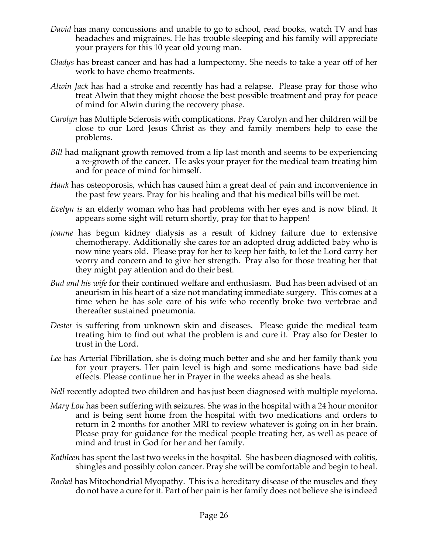- *David* has many concussions and unable to go to school, read books, watch TV and has headaches and migraines. He has trouble sleeping and his family will appreciate your prayers for this 10 year old young man.
- *Gladys* has breast cancer and has had a lumpectomy. She needs to take a year off of her work to have chemo treatments.
- *Alwin Jack* has had a stroke and recently has had a relapse. Please pray for those who treat Alwin that they might choose the best possible treatment and pray for peace of mind for Alwin during the recovery phase.
- *Carolyn* has Multiple Sclerosis with complications. Pray Carolyn and her children will be close to our Lord Jesus Christ as they and family members help to ease the problems.
- *Bill* had malignant growth removed from a lip last month and seems to be experiencing a re-growth of the cancer. He asks your prayer for the medical team treating him and for peace of mind for himself.
- *Hank* has osteoporosis, which has caused him a great deal of pain and inconvenience in the past few years. Pray for his healing and that his medical bills will be met.
- *Evelyn is* an elderly woman who has had problems with her eyes and is now blind. It appears some sight will return shortly, pray for that to happen!
- *Joanne* has begun kidney dialysis as a result of kidney failure due to extensive chemotherapy. Additionally she cares for an adopted drug addicted baby who is now nine years old. Please pray for her to keep her faith, to let the Lord carry her worry and concern and to give her strength. Pray also for those treating her that they might pay attention and do their best.
- *Bud and his wife* for their continued welfare and enthusiasm. Bud has been advised of an aneurism in his heart of a size not mandating immediate surgery. This comes at a time when he has sole care of his wife who recently broke two vertebrae and thereafter sustained pneumonia.
- *Dester* is suffering from unknown skin and diseases. Please guide the medical team treating him to find out what the problem is and cure it. Pray also for Dester to trust in the Lord.
- *Lee* has Arterial Fibrillation, she is doing much better and she and her family thank you for your prayers. Her pain level is high and some medications have bad side effects. Please continue her in Prayer in the weeks ahead as she heals.
- *Nell* recently adopted two children and has just been diagnosed with multiple myeloma.
- *Mary Lou* has been suffering with seizures. She was in the hospital with a 24 hour monitor and is being sent home from the hospital with two medications and orders to return in 2 months for another MRI to review whatever is going on in her brain. Please pray for guidance for the medical people treating her, as well as peace of mind and trust in God for her and her family.
- *Kathleen* has spent the last two weeks in the hospital. She has been diagnosed with colitis, shingles and possibly colon cancer. Pray she will be comfortable and begin to heal.
- *Rachel* has Mitochondrial Myopathy. This is a hereditary disease of the muscles and they do not have a cure for it. Part of her pain is her family does not believe she is indeed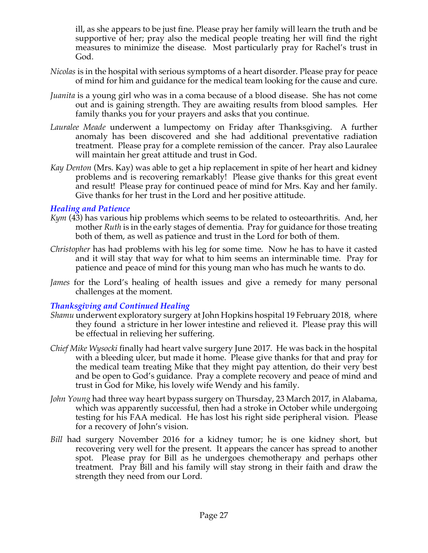ill, as she appears to be just fine. Please pray her family will learn the truth and be supportive of her; pray also the medical people treating her will find the right measures to minimize the disease. Most particularly pray for Rachel's trust in God.

- *Nicolas* is in the hospital with serious symptoms of a heart disorder. Please pray for peace of mind for him and guidance for the medical team looking for the cause and cure.
- *Juanita* is a young girl who was in a coma because of a blood disease. She has not come out and is gaining strength. They are awaiting results from blood samples. Her family thanks you for your prayers and asks that you continue.
- *Lauralee Meade* underwent a lumpectomy on Friday after Thanksgiving. A further anomaly has been discovered and she had additional preventative radiation treatment. Please pray for a complete remission of the cancer. Pray also Lauralee will maintain her great attitude and trust in God.
- *Kay Denton* (Mrs. Kay) was able to get a hip replacement in spite of her heart and kidney problems and is recovering remarkably! Please give thanks for this great event and result! Please pray for continued peace of mind for Mrs. Kay and her family. Give thanks for her trust in the Lord and her positive attitude.

#### *Healing and Patience*

- *Kym* (43) has various hip problems which seems to be related to osteoarthritis. And, her mother *Ruth* is in the early stages of dementia. Pray for guidance for those treating both of them, as well as patience and trust in the Lord for both of them.
- *Christopher* has had problems with his leg for some time. Now he has to have it casted and it will stay that way for what to him seems an interminable time. Pray for patience and peace of mind for this young man who has much he wants to do.
- *James* for the Lord's healing of health issues and give a remedy for many personal challenges at the moment.

#### *Thanksgiving and Continued Healing*

- *Shamu* underwent exploratory surgery at John Hopkins hospital 19 February 2018, where they found a stricture in her lower intestine and relieved it. Please pray this will be effectual in relieving her suffering.
- *Chief Mike Wysocki* finally had heart valve surgery June 2017. He was back in the hospital with a bleeding ulcer, but made it home. Please give thanks for that and pray for the medical team treating Mike that they might pay attention, do their very best and be open to God's guidance. Pray a complete recovery and peace of mind and trust in God for Mike, his lovely wife Wendy and his family.
- *John Young* had three way heart bypass surgery on Thursday, 23 March 2017, in Alabama, which was apparently successful, then had a stroke in October while undergoing testing for his FAA medical. He has lost his right side peripheral vision. Please for a recovery of John's vision.
- *Bill* had surgery November 2016 for a kidney tumor; he is one kidney short, but recovering very well for the present. It appears the cancer has spread to another spot. Please pray for Bill as he undergoes chemotherapy and perhaps other treatment. Pray Bill and his family will stay strong in their faith and draw the strength they need from our Lord.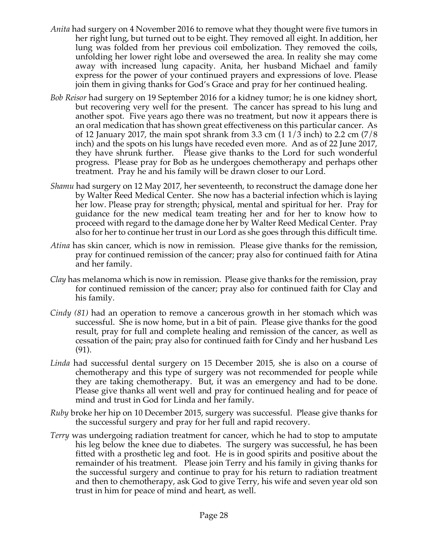- *Anita* had surgery on 4 November 2016 to remove what they thought were five tumors in her right lung, but turned out to be eight. They removed all eight. In addition, her lung was folded from her previous coil embolization. They removed the coils, unfolding her lower right lobe and oversewed the area. In reality she may come away with increased lung capacity. Anita, her husband Michael and family express for the power of your continued prayers and expressions of love. Please join them in giving thanks for God's Grace and pray for her continued healing.
- *Bob Reisor* had surgery on 19 September 2016 for a kidney tumor; he is one kidney short, but recovering very well for the present. The cancer has spread to his lung and another spot. Five years ago there was no treatment, but now it appears there is an oral medication that has shown great effectiveness on this particular cancer. As of 12 January 2017, the main spot shrank from 3.3 cm  $(11/3 \text{ inch})$  to 2.2 cm  $(7/8 \text{ ft})$ inch) and the spots on his lungs have receded even more. And as of 22 June 2017, they have shrunk further. Please give thanks to the Lord for such wonderful progress. Please pray for Bob as he undergoes chemotherapy and perhaps other treatment. Pray he and his family will be drawn closer to our Lord.
- *Shamu* had surgery on 12 May 2017, her seventeenth, to reconstruct the damage done her by Walter Reed Medical Center. She now has a bacterial infection which is laying her low. Please pray for strength; physical, mental and spiritual for her. Pray for guidance for the new medical team treating her and for her to know how to proceed with regard to the damage done her by Walter Reed Medical Center. Pray also for her to continue her trust in our Lord as she goes through this difficult time.
- *Atina* has skin cancer, which is now in remission. Please give thanks for the remission, pray for continued remission of the cancer; pray also for continued faith for Atina and her family.
- *Clay* has melanoma which is now in remission. Please give thanks for the remission, pray for continued remission of the cancer; pray also for continued faith for Clay and his family.
- *Cindy (81)* had an operation to remove a cancerous growth in her stomach which was successful. She is now home, but in a bit of pain. Please give thanks for the good result, pray for full and complete healing and remission of the cancer, as well as cessation of the pain; pray also for continued faith for Cindy and her husband Les (91).
- *Linda* had successful dental surgery on 15 December 2015, she is also on a course of chemotherapy and this type of surgery was not recommended for people while they are taking chemotherapy. But, it was an emergency and had to be done. Please give thanks all went well and pray for continued healing and for peace of mind and trust in God for Linda and her family.
- *Ruby* broke her hip on 10 December 2015, surgery was successful. Please give thanks for the successful surgery and pray for her full and rapid recovery.
- *Terry* was undergoing radiation treatment for cancer, which he had to stop to amputate his leg below the knee due to diabetes. The surgery was successful, he has been fitted with a prosthetic leg and foot. He is in good spirits and positive about the remainder of his treatment. Please join Terry and his family in giving thanks for the successful surgery and continue to pray for his return to radiation treatment and then to chemotherapy, ask God to give Terry, his wife and seven year old son trust in him for peace of mind and heart, as well.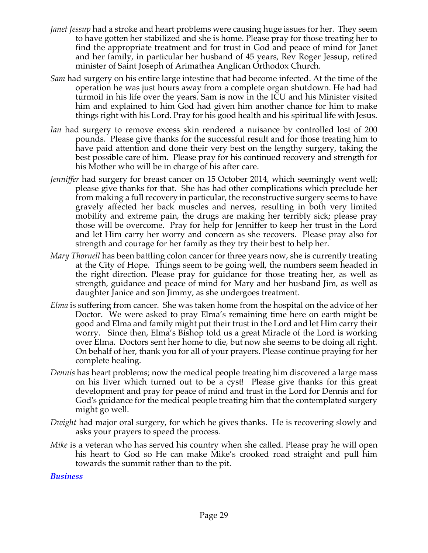- *Janet Jessup* had a stroke and heart problems were causing huge issues for her. They seem to have gotten her stabilized and she is home. Please pray for those treating her to find the appropriate treatment and for trust in God and peace of mind for Janet and her family, in particular her husband of 45 years, Rev Roger Jessup, retired minister of Saint Joseph of Arimathea Anglican Orthodox Church.
- *Sam* had surgery on his entire large intestine that had become infected. At the time of the operation he was just hours away from a complete organ shutdown. He had had turmoil in his life over the years. Sam is now in the ICU and his Minister visited him and explained to him God had given him another chance for him to make things right with his Lord. Pray for his good health and his spiritual life with Jesus.
- *Ian* had surgery to remove excess skin rendered a nuisance by controlled lost of 200 pounds. Please give thanks for the successful result and for those treating him to have paid attention and done their very best on the lengthy surgery, taking the best possible care of him. Please pray for his continued recovery and strength for his Mother who will be in charge of his after care.
- *Jenniffer* had surgery for breast cancer on 15 October 2014, which seemingly went well; please give thanks for that. She has had other complications which preclude her from making a full recovery in particular, the reconstructive surgery seems to have gravely affected her back muscles and nerves, resulting in both very limited mobility and extreme pain, the drugs are making her terribly sick; please pray those will be overcome. Pray for help for Jenniffer to keep her trust in the Lord and let Him carry her worry and concern as she recovers. Please pray also for strength and courage for her family as they try their best to help her.
- *Mary Thornell* has been battling colon cancer for three years now, she is currently treating at the City of Hope. Things seem to be going well, the numbers seem headed in the right direction. Please pray for guidance for those treating her, as well as strength, guidance and peace of mind for Mary and her husband Jim, as well as daughter Janice and son Jimmy, as she undergoes treatment.
- *Elma* is suffering from cancer. She was taken home from the hospital on the advice of her Doctor. We were asked to pray Elma's remaining time here on earth might be good and Elma and family might put their trust in the Lord and let Him carry their worry. Since then, Elma's Bishop told us a great Miracle of the Lord is working over Elma. Doctors sent her home to die, but now she seems to be doing all right. On behalf of her, thank you for all of your prayers. Please continue praying for her complete healing.
- *Dennis* has heart problems; now the medical people treating him discovered a large mass on his liver which turned out to be a cyst! Please give thanks for this great development and pray for peace of mind and trust in the Lord for Dennis and for God's guidance for the medical people treating him that the contemplated surgery might go well.
- *Dwight* had major oral surgery, for which he gives thanks. He is recovering slowly and asks your prayers to speed the process.
- *Mike* is a veteran who has served his country when she called. Please pray he will open his heart to God so He can make Mike's crooked road straight and pull him towards the summit rather than to the pit.

#### *Business*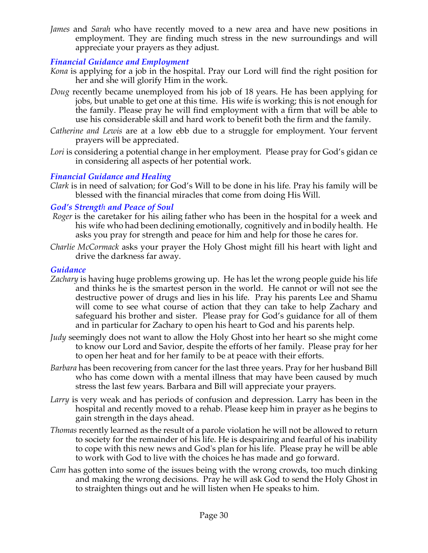*James* and *Sarah* who have recently moved to a new area and have new positions in employment. They are finding much stress in the new surroundings and will appreciate your prayers as they adjust.

# *Financial Guidance and Employment*

- *Kona* is applying for a job in the hospital. Pray our Lord will find the right position for her and she will glorify Him in the work.
- *Doug* recently became unemployed from his job of 18 years. He has been applying for jobs, but unable to get one at this time. His wife is working; this is not enough for the family. Please pray he will find employment with a firm that will be able to use his considerable skill and hard work to benefit both the firm and the family.
- *Catherine and Lewis* are at a low ebb due to a struggle for employment. Your fervent prayers will be appreciated.
- Lori is considering a potential change in her employment. Please pray for God's gidan ce in considering all aspects of her potential work.

# *Financial Guidance and Healing*

*Clark* is in need of salvation; for God's Will to be done in his life. Pray his family will be blessed with the financial miracles that come from doing His Will.

### *God's Strength and Peace of Soul*

- *Roger* is the caretaker for his ailing father who has been in the hospital for a week and his wife who had been declining emotionally, cognitively and in bodily health. He asks you pray for strength and peace for him and help for those he cares for.
- *Charlie McCormack* asks your prayer the Holy Ghost might fill his heart with light and drive the darkness far away.

### *Guidance*

- *Zachary* is having huge problems growing up. He has let the wrong people guide his life and thinks he is the smartest person in the world. He cannot or will not see the destructive power of drugs and lies in his life. Pray his parents Lee and Shamu will come to see what course of action that they can take to help Zachary and safeguard his brother and sister. Please pray for God's guidance for all of them and in particular for Zachary to open his heart to God and his parents help.
- *Judy* seemingly does not want to allow the Holy Ghost into her heart so she might come to know our Lord and Savior, despite the efforts of her family. Please pray for her to open her heat and for her family to be at peace with their efforts.
- *Barbara* has been recovering from cancer for the last three years. Pray for her husband Bill who has come down with a mental illness that may have been caused by much stress the last few years. Barbara and Bill will appreciate your prayers.
- *Larry* is very weak and has periods of confusion and depression. Larry has been in the hospital and recently moved to a rehab. Please keep him in prayer as he begins to gain strength in the days ahead.
- *Thomas* recently learned as the result of a parole violation he will not be allowed to return to society for the remainder of his life. He is despairing and fearful of his inability to cope with this new news and God's plan for his life. Please pray he will be able to work with God to live with the choices he has made and go forward.
- *Cam* has gotten into some of the issues being with the wrong crowds, too much dinking and making the wrong decisions. Pray he will ask God to send the Holy Ghost in to straighten things out and he will listen when He speaks to him.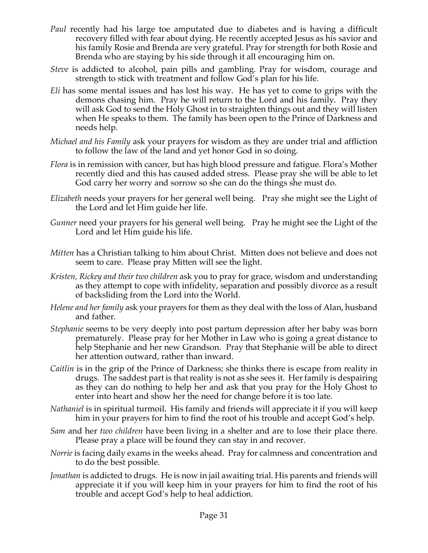- *Paul* recently had his large toe amputated due to diabetes and is having a difficult recovery filled with fear about dying. He recently accepted Jesus as his savior and his family Rosie and Brenda are very grateful. Pray for strength for both Rosie and Brenda who are staying by his side through it all encouraging him on.
- *Steve* is addicted to alcohol, pain pills and gambling. Pray for wisdom, courage and strength to stick with treatment and follow God's plan for his life.
- *Eli* has some mental issues and has lost his way. He has yet to come to grips with the demons chasing him. Pray he will return to the Lord and his family. Pray they will ask God to send the Holy Ghost in to straighten things out and they will listen when He speaks to them. The family has been open to the Prince of Darkness and needs help.
- *Michael and his Family* ask your prayers for wisdom as they are under trial and affliction to follow the law of the land and yet honor God in so doing.
- *Flora* is in remission with cancer, but has high blood pressure and fatigue. Flora's Mother recently died and this has caused added stress. Please pray she will be able to let God carry her worry and sorrow so she can do the things she must do.
- *Elizabeth* needs your prayers for her general well being. Pray she might see the Light of the Lord and let Him guide her life.
- *Gunner* need your prayers for his general well being. Pray he might see the Light of the Lord and let Him guide his life.
- *Mitten* has a Christian talking to him about Christ. Mitten does not believe and does not seem to care. Please pray Mitten will see the light.
- *Kristen, Rickey and their two children* ask you to pray for grace, wisdom and understanding as they attempt to cope with infidelity, separation and possibly divorce as a result of backsliding from the Lord into the World.
- *Helene and her family* ask your prayers for them as they deal with the loss of Alan, husband and father.
- *Stephanie* seems to be very deeply into post partum depression after her baby was born prematurely. Please pray for her Mother in Law who is going a great distance to help Stephanie and her new Grandson. Pray that Stephanie will be able to direct her attention outward, rather than inward.
- *Caitlin* is in the grip of the Prince of Darkness; she thinks there is escape from reality in drugs. The saddest part is that reality is not as she sees it. Her family is despairing as they can do nothing to help her and ask that you pray for the Holy Ghost to enter into heart and show her the need for change before it is too late.
- *Nathaniel* is in spiritual turmoil. His family and friends will appreciate it if you will keep him in your prayers for him to find the root of his trouble and accept God's help.
- *Sam* and her *two children* have been living in a shelter and are to lose their place there. Please pray a place will be found they can stay in and recover.
- *Norrie* is facing daily exams in the weeks ahead. Pray for calmness and concentration and to do the best possible.
- *Jonathan* is addicted to drugs. He is now in jail awaiting trial. His parents and friends will appreciate it if you will keep him in your prayers for him to find the root of his trouble and accept God's help to heal addiction.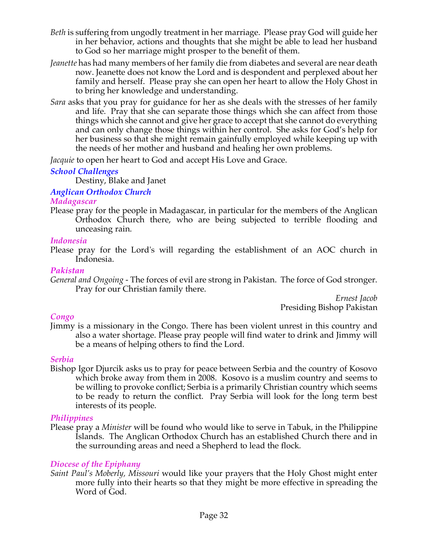- *Beth* is suffering from ungodly treatment in her marriage. Please pray God will guide her in her behavior, actions and thoughts that she might be able to lead her husband to God so her marriage might prosper to the benefit of them.
- *Jeanette* has had many members of her family die from diabetes and several are near death now. Jeanette does not know the Lord and is despondent and perplexed about her family and herself. Please pray she can open her heart to allow the Holy Ghost in to bring her knowledge and understanding.
- *Sara* asks that you pray for guidance for her as she deals with the stresses of her family and life. Pray that she can separate those things which she can affect from those things which she cannot and give her grace to accept that she cannot do everything and can only change those things within her control. She asks for God's help for her business so that she might remain gainfully employed while keeping up with the needs of her mother and husband and healing her own problems.

*Jacquie* to open her heart to God and accept His Love and Grace.

# *School Challenges*

Destiny, Blake and Janet

# *Anglican Orthodox Church*

### *Madagascar*

Please pray for the people in Madagascar, in particular for the members of the Anglican Orthodox Church there, who are being subjected to terrible flooding and unceasing rain.

### *Indonesia*

Please pray for the Lord's will regarding the establishment of an AOC church in Indonesia.

### *Pakistan*

*General and Ongoing -* The forces of evil are strong in Pakistan. The force of God stronger. Pray for our Christian family there.

*Ernest Jacob* Presiding Bishop Pakistan

# *Congo*

Jimmy is a missionary in the Congo. There has been violent unrest in this country and also a water shortage. Please pray people will find water to drink and Jimmy will be a means of helping others to find the Lord.

# *Serbia*

Bishop Igor Djurcik asks us to pray for peace between Serbia and the country of Kosovo which broke away from them in 2008. Kosovo is a muslim country and seems to be willing to provoke conflict; Serbia is a primarily Christian country which seems to be ready to return the conflict. Pray Serbia will look for the long term best interests of its people.

# *Philippines*

Please pray a *Minister* will be found who would like to serve in Tabuk, in the Philippine Islands. The Anglican Orthodox Church has an established Church there and in the surrounding areas and need a Shepherd to lead the flock*.*

# *Diocese of the Epiphany*

*Saint Paul's Moberly, Missouri* would like your prayers that the Holy Ghost might enter more fully into their hearts so that they might be more effective in spreading the Word of God.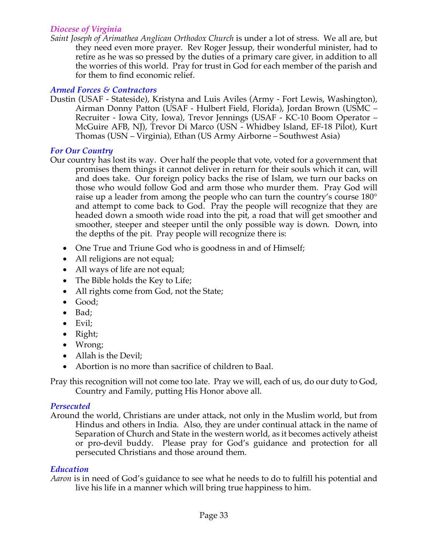### *Diocese of Virginia*

*Saint Joseph of Arimathea Anglican Orthodox Church* is under a lot of stress. We all are, but they need even more prayer. Rev Roger Jessup, their wonderful minister, had to retire as he was so pressed by the duties of a primary care giver, in addition to all the worries of this world. Pray for trust in God for each member of the parish and for them to find economic relief.

## *Armed Forces & Contractors*

Dustin (USAF - Stateside), Kristyna and Luis Aviles (Army - Fort Lewis, Washington), Airman Donny Patton (USAF - Hulbert Field, Florida), Jordan Brown (USMC – Recruiter - Iowa City, Iowa), Trevor Jennings (USAF - KC-10 Boom Operator – McGuire AFB, NJ), Trevor Di Marco (USN - Whidbey Island, EF-18 Pilot), Kurt Thomas (USN – Virginia), Ethan (US Army Airborne – Southwest Asia)

### *For Our Country*

- Our country has lost its way. Over half the people that vote, voted for a government that promises them things it cannot deliver in return for their souls which it can, will and does take. Our foreign policy backs the rise of Islam, we turn our backs on those who would follow God and arm those who murder them. Pray God will raise up a leader from among the people who can turn the country's course 180° and attempt to come back to God. Pray the people will recognize that they are headed down a smooth wide road into the pit, a road that will get smoother and smoother, steeper and steeper until the only possible way is down. Down, into the depths of the pit. Pray people will recognize there is:
	- One True and Triune God who is goodness in and of Himself;
	- All religions are not equal;
	- All ways of life are not equal;
	- The Bible holds the Key to Life;
	- All rights come from God, not the State;
	- Good;
	- Bad;
	- Evil;
	- Right;
	- Wrong;
	- Allah is the Devil;
	- Abortion is no more than sacrifice of children to Baal.

Pray this recognition will not come too late. Pray we will, each of us, do our duty to God, Country and Family, putting His Honor above all.

# *Persecuted*

Around the world, Christians are under attack, not only in the Muslim world, but from Hindus and others in India. Also, they are under continual attack in the name of Separation of Church and State in the western world, as it becomes actively atheist or pro-devil buddy. Please pray for God's guidance and protection for all persecuted Christians and those around them.

# *Education*

*Aaron* is in need of God's guidance to see what he needs to do to fulfill his potential and live his life in a manner which will bring true happiness to him.